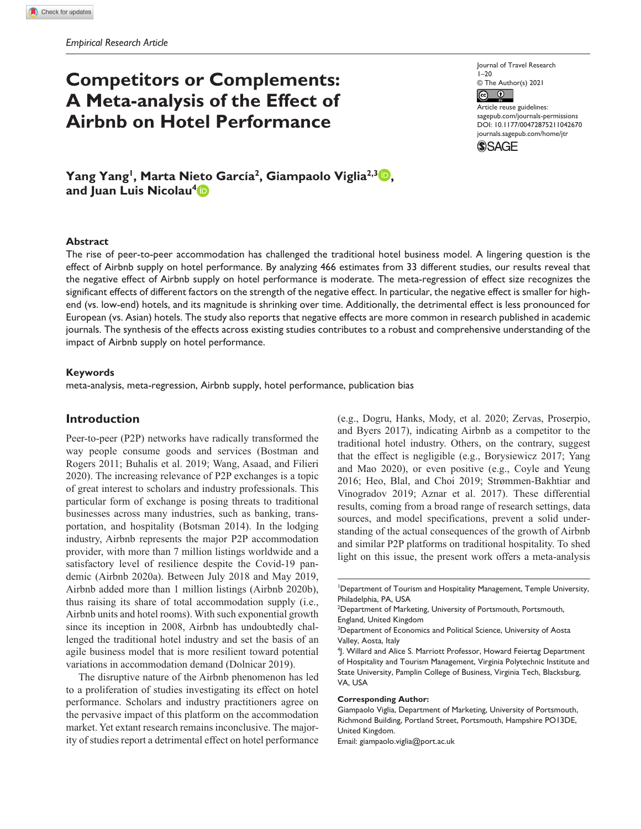# **Competitors or Complements: A Meta-analysis of the Effect of Airbnb on Hotel Performance**

Journal of Travel Research 1–20 © The Author(s) 2021

 $\odot$   $\odot$ Article reuse guidelines: [sagepub.com/journals-permissions](https://us.sagepub.com/en-us/journals-permissions) https://doi.org/10.1177/00472875211042670 DOI: 10.1177/00472875211042670 [journals.sagepub.com/home/jtr](https://journals.sagepub.com/home/jtr) **SSAGE** 

**Yang Yang<sup>1</sup>, Marta Nieto García<sup>2</sup>, Giampaolo Viglia<sup>2,3</sup> D**, **and Juan Luis Nicolau4**

#### **Abstract**

The rise of peer-to-peer accommodation has challenged the traditional hotel business model. A lingering question is the effect of Airbnb supply on hotel performance. By analyzing 466 estimates from 33 different studies, our results reveal that the negative effect of Airbnb supply on hotel performance is moderate. The meta-regression of effect size recognizes the significant effects of different factors on the strength of the negative effect. In particular, the negative effect is smaller for highend (vs. low-end) hotels, and its magnitude is shrinking over time. Additionally, the detrimental effect is less pronounced for European (vs. Asian) hotels. The study also reports that negative effects are more common in research published in academic journals. The synthesis of the effects across existing studies contributes to a robust and comprehensive understanding of the impact of Airbnb supply on hotel performance.

#### **Keywords**

meta-analysis, meta-regression, Airbnb supply, hotel performance, publication bias

## **Introduction**

Peer-to-peer (P2P) networks have radically transformed the way people consume goods and services (Bostman and Rogers 2011; Buhalis et al. 2019; Wang, Asaad, and Filieri 2020). The increasing relevance of P2P exchanges is a topic of great interest to scholars and industry professionals. This particular form of exchange is posing threats to traditional businesses across many industries, such as banking, transportation, and hospitality (Botsman 2014). In the lodging industry, Airbnb represents the major P2P accommodation provider, with more than 7 million listings worldwide and a satisfactory level of resilience despite the Covid-19 pandemic (Airbnb 2020a). Between July 2018 and May 2019, Airbnb added more than 1 million listings (Airbnb 2020b), thus raising its share of total accommodation supply (i.e., Airbnb units and hotel rooms). With such exponential growth since its inception in 2008, Airbnb has undoubtedly challenged the traditional hotel industry and set the basis of an agile business model that is more resilient toward potential variations in accommodation demand (Dolnicar 2019).

The disruptive nature of the Airbnb phenomenon has led to a proliferation of studies investigating its effect on hotel performance. Scholars and industry practitioners agree on the pervasive impact of this platform on the accommodation market. Yet extant research remains inconclusive. The majority of studies report a detrimental effect on hotel performance (e.g., Dogru, Hanks, Mody, et al. 2020; Zervas, Proserpio, and Byers 2017), indicating Airbnb as a competitor to the traditional hotel industry. Others, on the contrary, suggest that the effect is negligible (e.g., Borysiewicz 2017; Yang and Mao 2020), or even positive (e.g., Coyle and Yeung 2016; Heo, Blal, and Choi 2019; Strømmen-Bakhtiar and Vinogradov 2019; Aznar et al. 2017). These differential results, coming from a broad range of research settings, data sources, and model specifications, prevent a solid understanding of the actual consequences of the growth of Airbnb and similar P2P platforms on traditional hospitality. To shed light on this issue, the present work offers a meta-analysis

#### **Corresponding Author:**

Giampaolo Viglia, Department of Marketing, University of Portsmouth, Richmond Building, Portland Street, Portsmouth, Hampshire PO13DE, United Kingdom.

Email: [giampaolo.viglia@port.ac.uk](mailto:giampaolo.viglia@port.ac.uk)

Department of Tourism and Hospitality Management, Temple University, Philadelphia, PA, USA

<sup>&</sup>lt;sup>2</sup>Department of Marketing, University of Portsmouth, Portsmouth, England, United Kingdom

<sup>&</sup>lt;sup>3</sup>Department of Economics and Political Science, University of Aosta Valley, Aosta, Italy

<sup>&</sup>lt;sup>4</sup> J. Willard and Alice S. Marriott Professor, Howard Feiertag Department of Hospitality and Tourism Management, Virginia Polytechnic Institute and State University, Pamplin College of Business, Virginia Tech, Blacksburg, VA, USA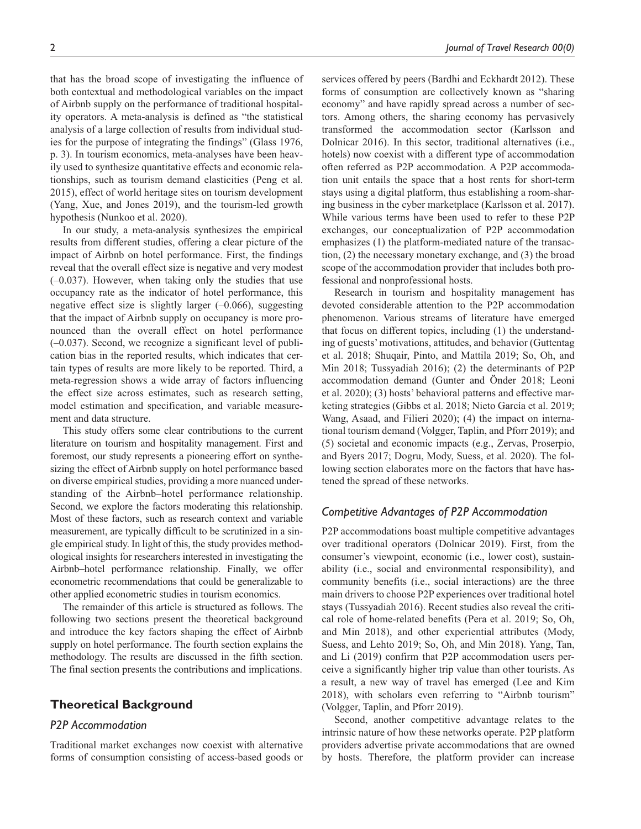that has the broad scope of investigating the influence of both contextual and methodological variables on the impact of Airbnb supply on the performance of traditional hospitality operators. A meta-analysis is defined as "the statistical analysis of a large collection of results from individual studies for the purpose of integrating the findings" (Glass 1976, p. 3). In tourism economics, meta-analyses have been heavily used to synthesize quantitative effects and economic relationships, such as tourism demand elasticities (Peng et al. 2015), effect of world heritage sites on tourism development (Yang, Xue, and Jones 2019), and the tourism-led growth hypothesis (Nunkoo et al. 2020).

In our study, a meta-analysis synthesizes the empirical results from different studies, offering a clear picture of the impact of Airbnb on hotel performance. First, the findings reveal that the overall effect size is negative and very modest (–0.037). However, when taking only the studies that use occupancy rate as the indicator of hotel performance, this negative effect size is slightly larger (–0.066), suggesting that the impact of Airbnb supply on occupancy is more pronounced than the overall effect on hotel performance (–0.037). Second, we recognize a significant level of publication bias in the reported results, which indicates that certain types of results are more likely to be reported. Third, a meta-regression shows a wide array of factors influencing the effect size across estimates, such as research setting, model estimation and specification, and variable measurement and data structure.

This study offers some clear contributions to the current literature on tourism and hospitality management. First and foremost, our study represents a pioneering effort on synthesizing the effect of Airbnb supply on hotel performance based on diverse empirical studies, providing a more nuanced understanding of the Airbnb–hotel performance relationship. Second, we explore the factors moderating this relationship. Most of these factors, such as research context and variable measurement, are typically difficult to be scrutinized in a single empirical study. In light of this, the study provides methodological insights for researchers interested in investigating the Airbnb–hotel performance relationship. Finally, we offer econometric recommendations that could be generalizable to other applied econometric studies in tourism economics.

The remainder of this article is structured as follows. The following two sections present the theoretical background and introduce the key factors shaping the effect of Airbnb supply on hotel performance. The fourth section explains the methodology. The results are discussed in the fifth section. The final section presents the contributions and implications.

## **Theoretical Background**

#### *P2P Accommodation*

Traditional market exchanges now coexist with alternative forms of consumption consisting of access-based goods or

services offered by peers (Bardhi and Eckhardt 2012). These forms of consumption are collectively known as "sharing economy" and have rapidly spread across a number of sectors. Among others, the sharing economy has pervasively transformed the accommodation sector (Karlsson and Dolnicar 2016). In this sector, traditional alternatives (i.e., hotels) now coexist with a different type of accommodation often referred as P2P accommodation. A P2P accommodation unit entails the space that a host rents for short-term stays using a digital platform, thus establishing a room-sharing business in the cyber marketplace (Karlsson et al. 2017). While various terms have been used to refer to these P2P exchanges, our conceptualization of P2P accommodation emphasizes (1) the platform-mediated nature of the transaction, (2) the necessary monetary exchange, and (3) the broad scope of the accommodation provider that includes both professional and nonprofessional hosts.

Research in tourism and hospitality management has devoted considerable attention to the P2P accommodation phenomenon. Various streams of literature have emerged that focus on different topics, including (1) the understanding of guests' motivations, attitudes, and behavior (Guttentag et al. 2018; Shuqair, Pinto, and Mattila 2019; So, Oh, and Min 2018; Tussyadiah 2016); (2) the determinants of P2P accommodation demand (Gunter and Önder 2018; Leoni et al. 2020); (3) hosts' behavioral patterns and effective marketing strategies (Gibbs et al. 2018; Nieto García et al. 2019; Wang, Asaad, and Filieri 2020); (4) the impact on international tourism demand (Volgger, Taplin, and Pforr 2019); and (5) societal and economic impacts (e.g., Zervas, Proserpio, and Byers 2017; Dogru, Mody, Suess, et al. 2020). The following section elaborates more on the factors that have hastened the spread of these networks.

## *Competitive Advantages of P2P Accommodation*

P2P accommodations boast multiple competitive advantages over traditional operators (Dolnicar 2019). First, from the consumer's viewpoint, economic (i.e., lower cost), sustainability (i.e., social and environmental responsibility), and community benefits (i.e., social interactions) are the three main drivers to choose P2P experiences over traditional hotel stays (Tussyadiah 2016). Recent studies also reveal the critical role of home-related benefits (Pera et al. 2019; So, Oh, and Min 2018), and other experiential attributes (Mody, Suess, and Lehto 2019; So, Oh, and Min 2018). Yang, Tan, and Li (2019) confirm that P2P accommodation users perceive a significantly higher trip value than other tourists. As a result, a new way of travel has emerged (Lee and Kim 2018), with scholars even referring to "Airbnb tourism" (Volgger, Taplin, and Pforr 2019).

Second, another competitive advantage relates to the intrinsic nature of how these networks operate. P2P platform providers advertise private accommodations that are owned by hosts. Therefore, the platform provider can increase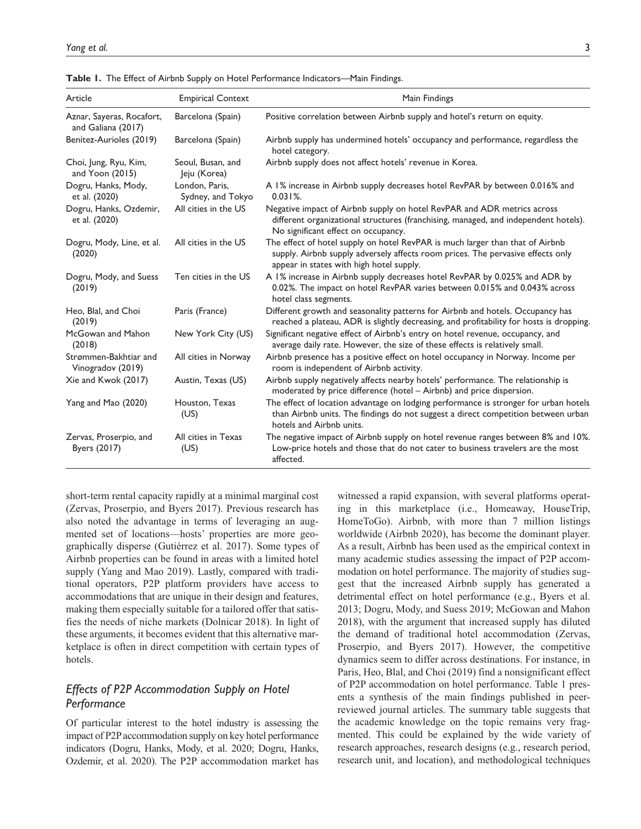| Article                                         | <b>Empirical Context</b>            | Main Findings                                                                                                                                                                                                |
|-------------------------------------------------|-------------------------------------|--------------------------------------------------------------------------------------------------------------------------------------------------------------------------------------------------------------|
| Aznar, Sayeras, Rocafort,<br>and Galiana (2017) | Barcelona (Spain)                   | Positive correlation between Airbnb supply and hotel's return on equity.                                                                                                                                     |
| Benítez-Aurioles (2019)                         | Barcelona (Spain)                   | Airbnb supply has undermined hotels' occupancy and performance, regardless the<br>hotel category.                                                                                                            |
| Choi, Jung, Ryu, Kim,<br>and Yoon $(2015)$      | Seoul, Busan, and<br>Jeju (Korea)   | Airbnb supply does not affect hotels' revenue in Korea.                                                                                                                                                      |
| Dogru, Hanks, Mody,<br>et al. (2020)            | London, Paris,<br>Sydney, and Tokyo | A 1% increase in Airbnb supply decreases hotel RevPAR by between 0.016% and<br>0.031%                                                                                                                        |
| Dogru, Hanks, Ozdemir,<br>et al. (2020)         | All cities in the US                | Negative impact of Airbnb supply on hotel RevPAR and ADR metrics across<br>different organizational structures (franchising, managed, and independent hotels).<br>No significant effect on occupancy.        |
| Dogru, Mody, Line, et al.<br>(2020)             | All cities in the US                | The effect of hotel supply on hotel RevPAR is much larger than that of Airbnb<br>supply. Airbnb supply adversely affects room prices. The pervasive effects only<br>appear in states with high hotel supply. |
| Dogru, Mody, and Suess<br>(2019)                | Ten cities in the US                | A 1% increase in Airbnb supply decreases hotel RevPAR by 0.025% and ADR by<br>0.02%. The impact on hotel RevPAR varies between 0.015% and 0.043% across<br>hotel class segments.                             |
| Heo, Blal, and Choi<br>(2019)                   | Paris (France)                      | Different growth and seasonality patterns for Airbnb and hotels. Occupancy has<br>reached a plateau, ADR is slightly decreasing, and profitability for hosts is dropping.                                    |
| McGowan and Mahon<br>(2018)                     | New York City (US)                  | Significant negative effect of Airbnb's entry on hotel revenue, occupancy, and<br>average daily rate. However, the size of these effects is relatively small.                                                |
| Strømmen-Bakhtiar and<br>Vinogradov (2019)      | All cities in Norway                | Airbnb presence has a positive effect on hotel occupancy in Norway. Income per<br>room is independent of Airbnb activity.                                                                                    |
| Xie and Kwok (2017)                             | Austin, Texas (US)                  | Airbnb supply negatively affects nearby hotels' performance. The relationship is<br>moderated by price difference (hotel - Airbnb) and price dispersion.                                                     |
| Yang and Mao (2020)                             | Houston, Texas<br>(US)              | The effect of location advantage on lodging performance is stronger for urban hotels<br>than Airbnb units. The findings do not suggest a direct competition between urban<br>hotels and Airbnb units.        |
| Zervas, Proserpio, and<br>Byers (2017)          | All cities in Texas<br>(US)         | The negative impact of Airbnb supply on hotel revenue ranges between 8% and 10%.<br>Low-price hotels and those that do not cater to business travelers are the most<br>affected.                             |

**Table 1.** The Effect of Airbnb Supply on Hotel Performance Indicators—Main Findings.

short-term rental capacity rapidly at a minimal marginal cost (Zervas, Proserpio, and Byers 2017). Previous research has also noted the advantage in terms of leveraging an augmented set of locations—hosts' properties are more geographically disperse (Gutiérrez et al. 2017). Some types of Airbnb properties can be found in areas with a limited hotel supply (Yang and Mao 2019). Lastly, compared with traditional operators, P2P platform providers have access to accommodations that are unique in their design and features, making them especially suitable for a tailored offer that satisfies the needs of niche markets (Dolnicar 2018). In light of these arguments, it becomes evident that this alternative marketplace is often in direct competition with certain types of hotels.

# *Effects of P2P Accommodation Supply on Hotel Performance*

Of particular interest to the hotel industry is assessing the impact of P2P accommodation supply on key hotel performance indicators (Dogru, Hanks, Mody, et al. 2020; Dogru, Hanks, Ozdemir, et al. 2020). The P2P accommodation market has

witnessed a rapid expansion, with several platforms operating in this marketplace (i.e., Homeaway, HouseTrip, HomeToGo). Airbnb, with more than 7 million listings worldwide (Airbnb 2020), has become the dominant player. As a result, Airbnb has been used as the empirical context in many academic studies assessing the impact of P2P accommodation on hotel performance. The majority of studies suggest that the increased Airbnb supply has generated a detrimental effect on hotel performance (e.g., Byers et al. 2013; Dogru, Mody, and Suess 2019; McGowan and Mahon 2018), with the argument that increased supply has diluted the demand of traditional hotel accommodation (Zervas, Proserpio, and Byers 2017). However, the competitive dynamics seem to differ across destinations. For instance, in Paris, Heo, Blal, and Choi (2019) find a nonsignificant effect of P2P accommodation on hotel performance. Table 1 presents a synthesis of the main findings published in peerreviewed journal articles. The summary table suggests that the academic knowledge on the topic remains very fragmented. This could be explained by the wide variety of research approaches, research designs (e.g., research period, research unit, and location), and methodological techniques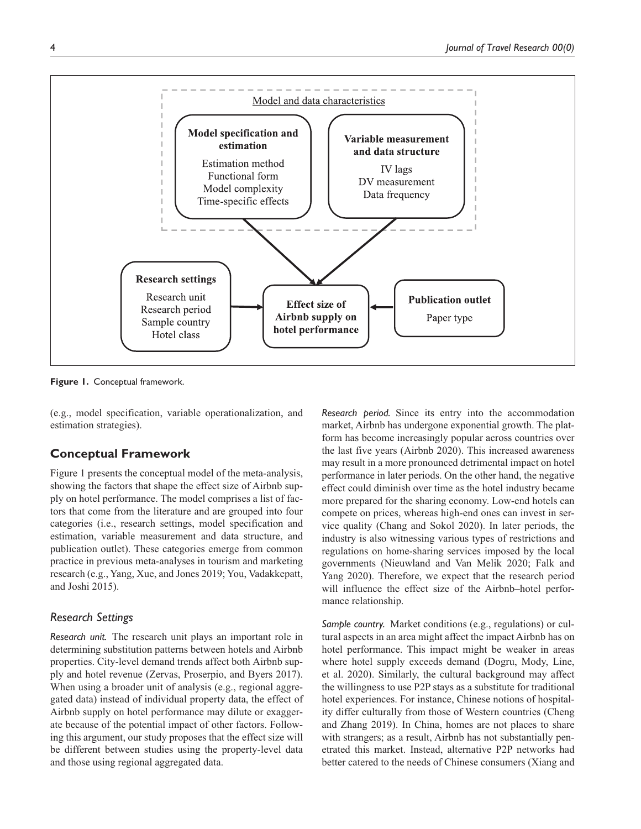

**Figure 1.** Conceptual framework.

(e.g., model specification, variable operationalization, and estimation strategies).

# **Conceptual Framework**

Figure 1 presents the conceptual model of the meta-analysis, showing the factors that shape the effect size of Airbnb supply on hotel performance. The model comprises a list of factors that come from the literature and are grouped into four categories (i.e., research settings, model specification and estimation, variable measurement and data structure, and publication outlet). These categories emerge from common practice in previous meta-analyses in tourism and marketing research (e.g., Yang, Xue, and Jones 2019; You, Vadakkepatt, and Joshi 2015).

# *Research Settings*

*Research unit.* The research unit plays an important role in determining substitution patterns between hotels and Airbnb properties. City-level demand trends affect both Airbnb supply and hotel revenue (Zervas, Proserpio, and Byers 2017). When using a broader unit of analysis (e.g., regional aggregated data) instead of individual property data, the effect of Airbnb supply on hotel performance may dilute or exaggerate because of the potential impact of other factors. Following this argument, our study proposes that the effect size will be different between studies using the property-level data and those using regional aggregated data.

*Research period.* Since its entry into the accommodation market, Airbnb has undergone exponential growth. The platform has become increasingly popular across countries over the last five years (Airbnb 2020). This increased awareness may result in a more pronounced detrimental impact on hotel performance in later periods. On the other hand, the negative effect could diminish over time as the hotel industry became more prepared for the sharing economy. Low-end hotels can compete on prices, whereas high-end ones can invest in service quality (Chang and Sokol 2020). In later periods, the industry is also witnessing various types of restrictions and regulations on home-sharing services imposed by the local governments (Nieuwland and Van Melik 2020; Falk and Yang 2020). Therefore, we expect that the research period will influence the effect size of the Airbnb–hotel performance relationship.

*Sample country.* Market conditions (e.g., regulations) or cultural aspects in an area might affect the impact Airbnb has on hotel performance. This impact might be weaker in areas where hotel supply exceeds demand (Dogru, Mody, Line, et al. 2020). Similarly, the cultural background may affect the willingness to use P2P stays as a substitute for traditional hotel experiences. For instance, Chinese notions of hospitality differ culturally from those of Western countries (Cheng and Zhang 2019). In China, homes are not places to share with strangers; as a result, Airbnb has not substantially penetrated this market. Instead, alternative P2P networks had better catered to the needs of Chinese consumers (Xiang and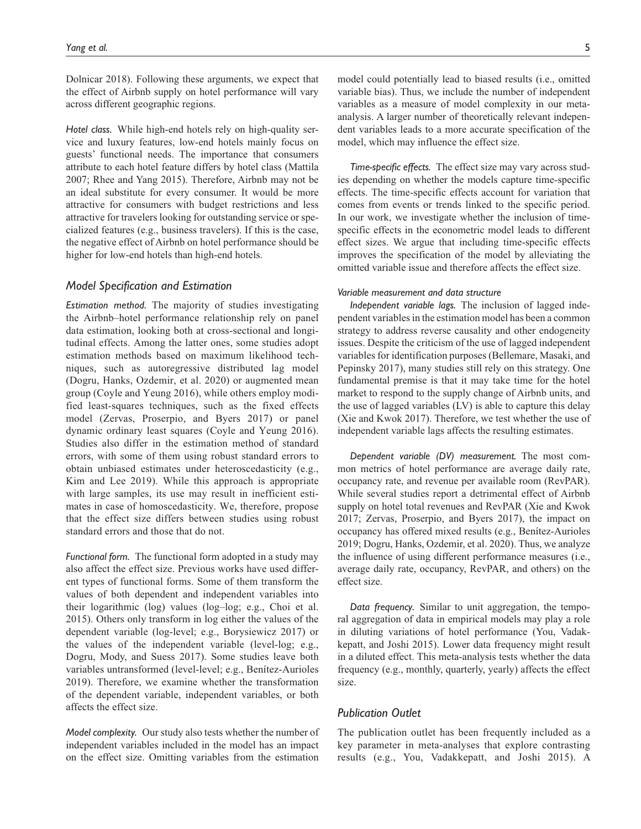Dolnicar 2018). Following these arguments, we expect that the effect of Airbnb supply on hotel performance will vary across different geographic regions.

*Hotel class.* While high-end hotels rely on high-quality service and luxury features, low-end hotels mainly focus on guests' functional needs. The importance that consumers attribute to each hotel feature differs by hotel class (Mattila 2007; Rhee and Yang 2015). Therefore, Airbnb may not be an ideal substitute for every consumer. It would be more attractive for consumers with budget restrictions and less attractive for travelers looking for outstanding service or specialized features (e.g., business travelers). If this is the case, the negative effect of Airbnb on hotel performance should be higher for low-end hotels than high-end hotels.

#### *Model Specification and Estimation*

*Estimation method.* The majority of studies investigating the Airbnb–hotel performance relationship rely on panel data estimation, looking both at cross-sectional and longitudinal effects. Among the latter ones, some studies adopt estimation methods based on maximum likelihood techniques, such as autoregressive distributed lag model (Dogru, Hanks, Ozdemir, et al. 2020) or augmented mean group (Coyle and Yeung 2016), while others employ modified least-squares techniques, such as the fixed effects model (Zervas, Proserpio, and Byers 2017) or panel dynamic ordinary least squares (Coyle and Yeung 2016). Studies also differ in the estimation method of standard errors, with some of them using robust standard errors to obtain unbiased estimates under heteroscedasticity (e.g., Kim and Lee 2019). While this approach is appropriate with large samples, its use may result in inefficient estimates in case of homoscedasticity. We, therefore, propose that the effect size differs between studies using robust standard errors and those that do not.

*Functional form.* The functional form adopted in a study may also affect the effect size. Previous works have used different types of functional forms. Some of them transform the values of both dependent and independent variables into their logarithmic (log) values (log–log; e.g., Choi et al. 2015). Others only transform in log either the values of the dependent variable (log-level; e.g., Borysiewicz 2017) or the values of the independent variable (level-log; e.g., Dogru, Mody, and Suess 2017). Some studies leave both variables untransformed (level-level; e.g., Benítez-Aurioles 2019). Therefore, we examine whether the transformation of the dependent variable, independent variables, or both affects the effect size.

*Model complexity.* Our study also tests whether the number of independent variables included in the model has an impact on the effect size. Omitting variables from the estimation

model could potentially lead to biased results (i.e., omitted variable bias). Thus, we include the number of independent variables as a measure of model complexity in our metaanalysis. A larger number of theoretically relevant independent variables leads to a more accurate specification of the model, which may influence the effect size.

*Time-specific effects.* The effect size may vary across studies depending on whether the models capture time-specific effects. The time-specific effects account for variation that comes from events or trends linked to the specific period. In our work, we investigate whether the inclusion of timespecific effects in the econometric model leads to different effect sizes. We argue that including time-specific effects improves the specification of the model by alleviating the omitted variable issue and therefore affects the effect size.

#### *Variable measurement and data structure*

*Independent variable lags.* The inclusion of lagged independent variables in the estimation model has been a common strategy to address reverse causality and other endogeneity issues. Despite the criticism of the use of lagged independent variables for identification purposes (Bellemare, Masaki, and Pepinsky 2017), many studies still rely on this strategy. One fundamental premise is that it may take time for the hotel market to respond to the supply change of Airbnb units, and the use of lagged variables (LV) is able to capture this delay (Xie and Kwok 2017). Therefore, we test whether the use of independent variable lags affects the resulting estimates.

*Dependent variable (DV) measurement.* The most common metrics of hotel performance are average daily rate, occupancy rate, and revenue per available room (RevPAR). While several studies report a detrimental effect of Airbnb supply on hotel total revenues and RevPAR (Xie and Kwok 2017; Zervas, Proserpio, and Byers 2017), the impact on occupancy has offered mixed results (e.g., Benítez-Aurioles 2019; Dogru, Hanks, Ozdemir, et al. 2020). Thus, we analyze the influence of using different performance measures (i.e., average daily rate, occupancy, RevPAR, and others) on the effect size.

*Data frequency.* Similar to unit aggregation, the temporal aggregation of data in empirical models may play a role in diluting variations of hotel performance (You, Vadakkepatt, and Joshi 2015). Lower data frequency might result in a diluted effect. This meta-analysis tests whether the data frequency (e.g., monthly, quarterly, yearly) affects the effect size.

#### *Publication Outlet*

The publication outlet has been frequently included as a key parameter in meta-analyses that explore contrasting results (e.g., You, Vadakkepatt, and Joshi 2015). A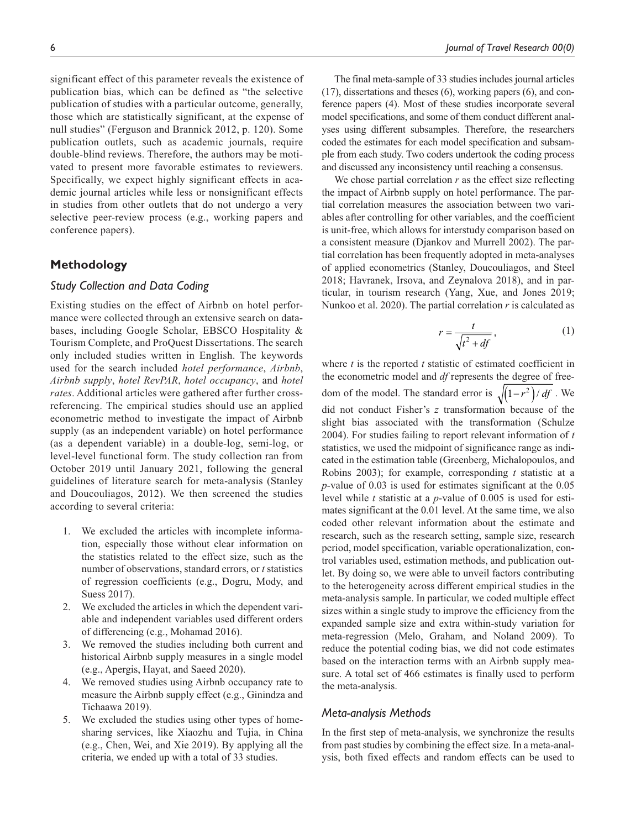significant effect of this parameter reveals the existence of publication bias, which can be defined as "the selective publication of studies with a particular outcome, generally, those which are statistically significant, at the expense of null studies" (Ferguson and Brannick 2012, p. 120). Some publication outlets, such as academic journals, require double-blind reviews. Therefore, the authors may be motivated to present more favorable estimates to reviewers. Specifically, we expect highly significant effects in academic journal articles while less or nonsignificant effects in studies from other outlets that do not undergo a very selective peer-review process (e.g., working papers and conference papers).

## **Methodology**

#### *Study Collection and Data Coding*

Existing studies on the effect of Airbnb on hotel performance were collected through an extensive search on databases, including Google Scholar, EBSCO Hospitality & Tourism Complete, and ProQuest Dissertations. The search only included studies written in English. The keywords used for the search included *hotel performance*, *Airbnb*, *Airbnb supply*, *hotel RevPAR*, *hotel occupancy*, and *hotel rates*. Additional articles were gathered after further crossreferencing. The empirical studies should use an applied econometric method to investigate the impact of Airbnb supply (as an independent variable) on hotel performance (as a dependent variable) in a double-log, semi-log, or level-level functional form. The study collection ran from October 2019 until January 2021, following the general guidelines of literature search for meta-analysis (Stanley and Doucouliagos, 2012). We then screened the studies according to several criteria:

- 1. We excluded the articles with incomplete information, especially those without clear information on the statistics related to the effect size, such as the number of observations, standard errors, or *t* statistics of regression coefficients (e.g., Dogru, Mody, and Suess 2017).
- 2. We excluded the articles in which the dependent variable and independent variables used different orders of differencing (e.g., Mohamad 2016).
- 3. We removed the studies including both current and historical Airbnb supply measures in a single model (e.g., Apergis, Hayat, and Saeed 2020).
- 4. We removed studies using Airbnb occupancy rate to measure the Airbnb supply effect (e.g., Ginindza and Tichaawa 2019).
- 5. We excluded the studies using other types of homesharing services, like Xiaozhu and Tujia, in China (e.g., Chen, Wei, and Xie 2019). By applying all the criteria, we ended up with a total of 33 studies.

The final meta-sample of 33 studies includes journal articles (17), dissertations and theses (6), working papers (6), and conference papers (4). Most of these studies incorporate several model specifications, and some of them conduct different analyses using different subsamples. Therefore, the researchers coded the estimates for each model specification and subsample from each study. Two coders undertook the coding process and discussed any inconsistency until reaching a consensus.

We chose partial correlation *r* as the effect size reflecting the impact of Airbnb supply on hotel performance. The partial correlation measures the association between two variables after controlling for other variables, and the coefficient is unit-free, which allows for interstudy comparison based on a consistent measure (Djankov and Murrell 2002). The partial correlation has been frequently adopted in meta-analyses of applied econometrics (Stanley, Doucouliagos, and Steel 2018; Havranek, Irsova, and Zeynalova 2018), and in particular, in tourism research (Yang, Xue, and Jones 2019; Nunkoo et al. 2020). The partial correlation *r* is calculated as

$$
r = \frac{t}{\sqrt{t^2 + df}},\tag{1}
$$

where *t* is the reported *t* statistic of estimated coefficient in the econometric model and *df* represents the degree of freedom of the model. The standard error is  $\sqrt{\left(1 - r^2\right)/df}$ . We did not conduct Fisher's *z* transformation because of the slight bias associated with the transformation (Schulze 2004). For studies failing to report relevant information of *t* statistics, we used the midpoint of significance range as indicated in the estimation table (Greenberg, Michalopoulos, and Robins 2003); for example, corresponding *t* statistic at a *p-*value of 0.03 is used for estimates significant at the 0.05 level while *t* statistic at a *p*-value of 0.005 is used for estimates significant at the 0.01 level. At the same time, we also coded other relevant information about the estimate and research, such as the research setting, sample size, research period, model specification, variable operationalization, control variables used, estimation methods, and publication outlet. By doing so, we were able to unveil factors contributing to the heterogeneity across different empirical studies in the meta-analysis sample. In particular, we coded multiple effect sizes within a single study to improve the efficiency from the expanded sample size and extra within-study variation for meta-regression (Melo, Graham, and Noland 2009). To reduce the potential coding bias, we did not code estimates based on the interaction terms with an Airbnb supply measure. A total set of 466 estimates is finally used to perform the meta-analysis.

#### *Meta-analysis Methods*

In the first step of meta-analysis, we synchronize the results from past studies by combining the effect size. In a meta-analysis, both fixed effects and random effects can be used to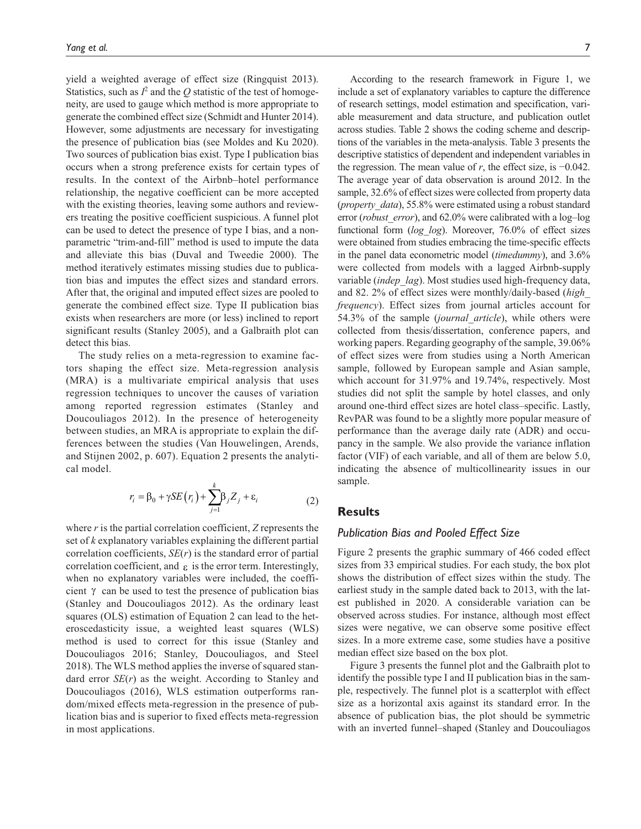yield a weighted average of effect size (Ringquist 2013). Statistics, such as  $I^2$  and the  $Q$  statistic of the test of homogeneity, are used to gauge which method is more appropriate to generate the combined effect size (Schmidt and Hunter 2014). However, some adjustments are necessary for investigating the presence of publication bias (see Moldes and Ku 2020). Two sources of publication bias exist. Type I publication bias occurs when a strong preference exists for certain types of results. In the context of the Airbnb–hotel performance relationship, the negative coefficient can be more accepted with the existing theories, leaving some authors and reviewers treating the positive coefficient suspicious. A funnel plot can be used to detect the presence of type I bias, and a nonparametric "trim-and-fill" method is used to impute the data and alleviate this bias (Duval and Tweedie 2000). The method iteratively estimates missing studies due to publication bias and imputes the effect sizes and standard errors. After that, the original and imputed effect sizes are pooled to generate the combined effect size. Type II publication bias exists when researchers are more (or less) inclined to report significant results (Stanley 2005), and a Galbraith plot can detect this bias.

The study relies on a meta-regression to examine factors shaping the effect size. Meta-regression analysis (MRA) is a multivariate empirical analysis that uses regression techniques to uncover the causes of variation among reported regression estimates (Stanley and Doucouliagos 2012). In the presence of heterogeneity between studies, an MRA is appropriate to explain the differences between the studies (Van Houwelingen, Arends, and Stijnen 2002, p. 607). Equation 2 presents the analytical model.

$$
r_i = \beta_0 + \gamma SE(r_i) + \sum_{j=1}^{k} \beta_j Z_j + \varepsilon_i
$$
 (2)

where *r* is the partial correlation coefficient, *Z* represents the set of *k* explanatory variables explaining the different partial correlation coefficients, *SE*(*r*) is the standard error of partial correlation coefficient, and  $\epsilon$  is the error term. Interestingly, when no explanatory variables were included, the coefficient γ can be used to test the presence of publication bias (Stanley and Doucouliagos 2012). As the ordinary least squares (OLS) estimation of Equation 2 can lead to the heteroscedasticity issue, a weighted least squares (WLS) method is used to correct for this issue (Stanley and Doucouliagos 2016; Stanley, Doucouliagos, and Steel 2018). The WLS method applies the inverse of squared standard error *SE*(*r*) as the weight. According to Stanley and Doucouliagos (2016), WLS estimation outperforms random/mixed effects meta-regression in the presence of publication bias and is superior to fixed effects meta-regression in most applications.

According to the research framework in Figure 1, we include a set of explanatory variables to capture the difference of research settings, model estimation and specification, variable measurement and data structure, and publication outlet across studies. Table 2 shows the coding scheme and descriptions of the variables in the meta-analysis. Table 3 presents the descriptive statistics of dependent and independent variables in the regression. The mean value of *r*, the effect size, is −0.042. The average year of data observation is around 2012. In the sample, 32.6% of effect sizes were collected from property data (*property\_data*), 55.8% were estimated using a robust standard error (*robust error*), and 62.0% were calibrated with a log–log functional form (*log\_log*). Moreover, 76.0% of effect sizes were obtained from studies embracing the time-specific effects in the panel data econometric model (*timedummy*), and 3.6% were collected from models with a lagged Airbnb-supply variable (*indep\_lag*). Most studies used high-frequency data, and 82. 2% of effect sizes were monthly/daily-based (*high\_ frequency*). Effect sizes from journal articles account for 54.3% of the sample (*journal\_article*), while others were collected from thesis/dissertation, conference papers, and working papers. Regarding geography of the sample, 39.06% of effect sizes were from studies using a North American sample, followed by European sample and Asian sample, which account for 31.97% and 19.74%, respectively. Most studies did not split the sample by hotel classes, and only around one-third effect sizes are hotel class–specific. Lastly, RevPAR was found to be a slightly more popular measure of performance than the average daily rate (ADR) and occupancy in the sample. We also provide the variance inflation factor (VIF) of each variable, and all of them are below 5.0, indicating the absence of multicollinearity issues in our sample.

# **Results**

#### *Publication Bias and Pooled Effect Size*

Figure 2 presents the graphic summary of 466 coded effect sizes from 33 empirical studies. For each study, the box plot shows the distribution of effect sizes within the study. The earliest study in the sample dated back to 2013, with the latest published in 2020. A considerable variation can be observed across studies. For instance, although most effect sizes were negative, we can observe some positive effect sizes. In a more extreme case, some studies have a positive median effect size based on the box plot.

Figure 3 presents the funnel plot and the Galbraith plot to identify the possible type I and II publication bias in the sample, respectively. The funnel plot is a scatterplot with effect size as a horizontal axis against its standard error. In the absence of publication bias, the plot should be symmetric with an inverted funnel–shaped (Stanley and Doucouliagos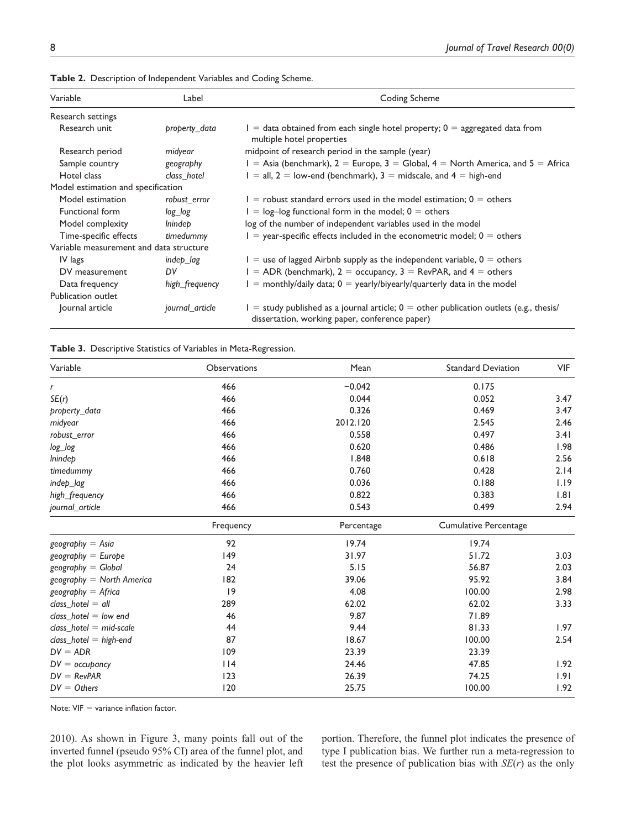| Variable                                | Label           | Coding Scheme                                                                                                                            |
|-----------------------------------------|-----------------|------------------------------------------------------------------------------------------------------------------------------------------|
| Research settings                       |                 |                                                                                                                                          |
| Research unit                           | property_data   | $I =$ data obtained from each single hotel property; $0 =$ aggregated data from<br>multiple hotel properties                             |
| Research period                         | midyear         | midpoint of research period in the sample (year)                                                                                         |
| Sample country                          | geography       | $I =$ Asia (benchmark), 2 = Europe, 3 = Global, 4 = North America, and 5 = Africa                                                        |
| Hotel class                             | class hotel     | $I = all, 2 = low-end (benchmark), 3 = midscale, and 4 = high-end$                                                                       |
| Model estimation and specification      |                 |                                                                                                                                          |
| Model estimation                        | robust error    | $I =$ robust standard errors used in the model estimation; 0 = others                                                                    |
| Functional form                         | log log         | $I = log-log$ functional form in the model; $0 =$ others                                                                                 |
| Model complexity                        | lnindep         | log of the number of independent variables used in the model                                                                             |
| Time-specific effects                   | timedummy       | $I =$ year-specific effects included in the econometric model; $0 =$ others                                                              |
| Variable measurement and data structure |                 |                                                                                                                                          |
| IV lags                                 | indep lag       | $I =$ use of lagged Airbnb supply as the independent variable, $0 =$ others                                                              |
| DV measurement                          | DV              | $I = ADR$ (benchmark), $2 =$ occupancy, $3 =$ RevPAR, and $4 =$ others                                                                   |
| Data frequency                          | high_frequency  | $I =$ monthly/daily data; $0 =$ yearly/biyearly/quarterly data in the model                                                              |
| Publication outlet                      |                 |                                                                                                                                          |
| Journal article                         | journal article | = study published as a journal article; $0 =$ other publication outlets (e.g., thesis/<br>dissertation, working paper, conference paper) |

**Table 2.** Description of Independent Variables and Coding Scheme.

#### **Table 3.** Descriptive Statistics of Variables in Meta-Regression.

| Variable                  | <b>Observations</b> | Mean       | <b>Standard Deviation</b>    | <b>VIF</b> |
|---------------------------|---------------------|------------|------------------------------|------------|
| r                         | 466                 | $-0.042$   | 0.175                        |            |
| SE(r)                     | 466                 | 0.044      | 0.052                        | 3.47       |
| property_data             | 466                 | 0.326      | 0.469                        | 3.47       |
| midyear                   | 466                 | 2012.120   | 2.545                        | 2.46       |
| robust_error              | 466                 | 0.558      | 0.497                        | 3.41       |
| log_log                   | 466                 | 0.620      | 0.486                        | 1.98       |
| lnindep                   | 466                 | 1.848      | 0.618                        | 2.56       |
| timedummy                 | 466                 | 0.760      | 0.428                        | 2.14       |
| indep_lag                 | 466                 | 0.036      | 0.188                        | 1.19       |
| high_frequency            | 466                 | 0.822      | 0.383                        | 1.81       |
| journal article           | 466                 | 0.543      | 0.499                        | 2.94       |
|                           | Frequency           | Percentage | <b>Cumulative Percentage</b> |            |
| $geography = Asia$        | 92                  | 19.74      | 19.74                        |            |
| $geography = Europe$      | 149                 | 31.97      | 51.72                        | 3.03       |
| $geography = Global$      | 24                  | 5.15       | 56.87                        | 2.03       |
| geography = North America | 182                 | 39.06      | 95.92                        | 3.84       |
| $geography = Africa$      | 9                   | 4.08       | 100.00                       | 2.98       |
| $class\_hotel = all$      | 289                 | 62.02      | 62.02                        | 3.33       |
| class hotel $=$ low end   | 46                  | 9.87       | 71.89                        |            |
| class hotel $=$ mid-scale | 44                  | 9.44       | 81.33                        | 1.97       |
| $class\_hotel = high-end$ | 87                  | 18.67      | 100.00                       | 2.54       |
| $DV = ADR$                | 109                 | 23.39      | 23.39                        |            |
| $DV =$ occupancy          | $ $   4             | 24.46      | 47.85                        | 1.92       |
| $DV = RevPAR$             | 123                 | 26.39      | 74.25                        | 1.91       |
| $DV = Others$             | 120                 | 25.75      | 100.00                       | 1.92       |

Note: VIF = variance inflation factor.

2010). As shown in Figure 3, many points fall out of the inverted funnel (pseudo 95% CI) area of the funnel plot, and the plot looks asymmetric as indicated by the heavier left portion. Therefore, the funnel plot indicates the presence of type I publication bias. We further run a meta-regression to test the presence of publication bias with *SE*(*r*) as the only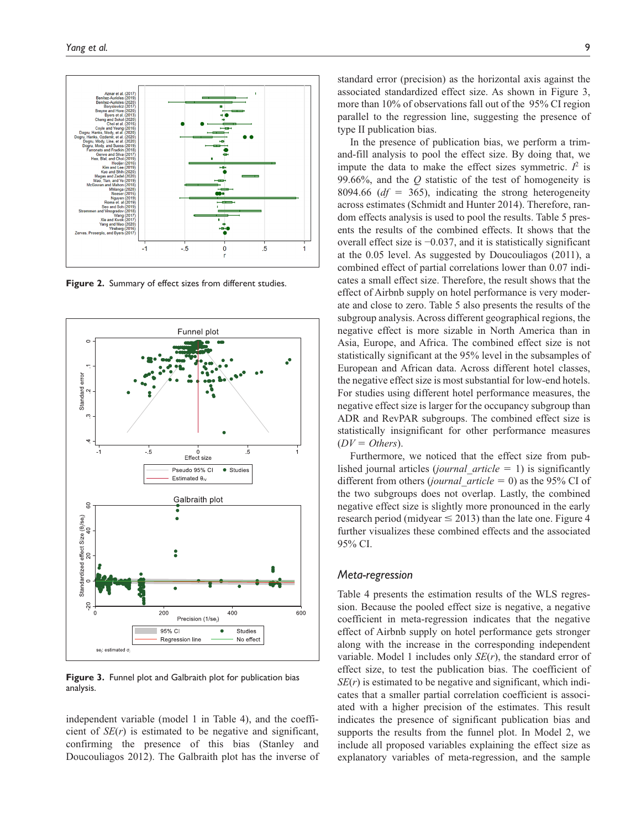

**Figure 2.** Summary of effect sizes from different studies.



**Figure 3.** Funnel plot and Galbraith plot for publication bias analysis.

independent variable (model 1 in Table 4), and the coefficient of *SE*(*r*) is estimated to be negative and significant, confirming the presence of this bias (Stanley and Doucouliagos 2012). The Galbraith plot has the inverse of standard error (precision) as the horizontal axis against the associated standardized effect size. As shown in Figure 3, more than 10% of observations fall out of the 95% CI region parallel to the regression line, suggesting the presence of type II publication bias.

In the presence of publication bias, we perform a trimand-fill analysis to pool the effect size. By doing that, we impute the data to make the effect sizes symmetric.  $I^2$  is 99.66%, and the *Q* statistic of the test of homogeneity is 8094.66 (*df* = 365), indicating the strong heterogeneity across estimates (Schmidt and Hunter 2014). Therefore, random effects analysis is used to pool the results. Table 5 presents the results of the combined effects. It shows that the overall effect size is −0.037, and it is statistically significant at the 0.05 level. As suggested by Doucouliagos (2011), a combined effect of partial correlations lower than 0.07 indicates a small effect size. Therefore, the result shows that the effect of Airbnb supply on hotel performance is very moderate and close to zero. Table 5 also presents the results of the subgroup analysis. Across different geographical regions, the negative effect is more sizable in North America than in Asia, Europe, and Africa. The combined effect size is not statistically significant at the 95% level in the subsamples of European and African data. Across different hotel classes, the negative effect size is most substantial for low-end hotels. For studies using different hotel performance measures, the negative effect size is larger for the occupancy subgroup than ADR and RevPAR subgroups. The combined effect size is statistically insignificant for other performance measures  $(DV = Others).$ 

Furthermore, we noticed that the effect size from published journal articles (*journal\_article* = 1) is significantly different from others (*journal\_article* = 0) as the 95% CI of the two subgroups does not overlap. Lastly, the combined negative effect size is slightly more pronounced in the early research period (midyear  $\leq$  2013) than the late one. Figure 4 further visualizes these combined effects and the associated 95% CI.

#### *Meta-regression*

Table 4 presents the estimation results of the WLS regression. Because the pooled effect size is negative, a negative coefficient in meta-regression indicates that the negative effect of Airbnb supply on hotel performance gets stronger along with the increase in the corresponding independent variable. Model 1 includes only *SE*(*r*), the standard error of effect size, to test the publication bias. The coefficient of *SE*(*r*) is estimated to be negative and significant, which indicates that a smaller partial correlation coefficient is associated with a higher precision of the estimates. This result indicates the presence of significant publication bias and supports the results from the funnel plot. In Model 2, we include all proposed variables explaining the effect size as explanatory variables of meta-regression, and the sample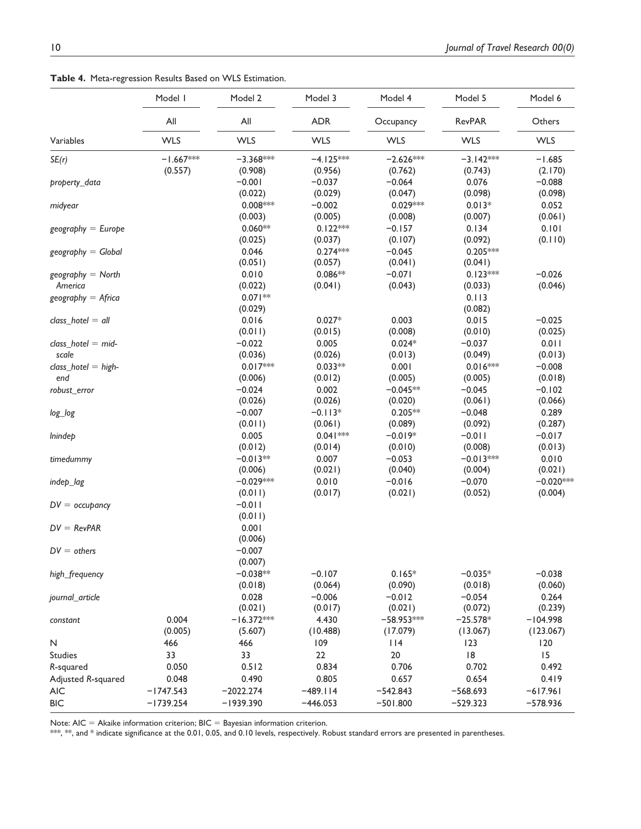**Table 4.** Meta-regression Results Based on WLS Estimation.

| All<br>All<br><b>ADR</b><br><b>RevPAR</b><br>Others<br>Occupancy<br><b>WLS</b><br><b>WLS</b><br><b>WLS</b><br><b>WLS</b><br><b>WLS</b><br><b>WLS</b><br>Variables<br>$-1.667***$<br>$-3.368***$<br>$-4.125***$<br>$-2.626***$<br>$-3.142***$<br>SE(r)<br>$-1.685$<br>(0.557)<br>(0.908)<br>(0.956)<br>(0.762)<br>(0.743)<br>(2.170)<br>$-0.001$<br>$-0.037$<br>$-0.064$<br>0.076<br>$-0.088$<br>property_data<br>(0.022)<br>(0.029)<br>(0.047)<br>(0.098)<br>(0.098)<br>$0.029***$<br>$0.008***$<br>$-0.002$<br>$0.013*$<br>0.052<br>midyear<br>(0.061)<br>(0.003)<br>(0.005)<br>(0.008)<br>(0.007)<br>$0.122***$<br>$-0.157$<br>0.101<br>$0.060**$<br>0.134<br>$geography = Europe$<br>(0.092)<br>(0.025)<br>(0.037)<br>(0.107)<br>(0.110)<br>0.046<br>$0.274***$<br>$-0.045$<br>$0.205***$<br>$geography = Global$<br>(0.051)<br>(0.041)<br>(0.057)<br>(0.041)<br>$0.086**$<br>0.010<br>$-0.071$<br>$0.123***$<br>$-0.026$<br>$geography = North$<br>(0.043)<br>America<br>(0.022)<br>(0.041)<br>(0.033)<br>(0.046)<br>$0.071**$<br>$geography = Africa$<br>0.113<br>(0.082)<br>(0.029)<br>0.016<br>$0.027*$<br>0.003<br>0.015<br>$-0.025$<br>class hotel $=$ all<br>(0.011)<br>(0.015)<br>(0.008)<br>(0.010)<br>(0.025)<br>$-0.022$<br>0.005<br>$0.024*$<br>$-0.037$<br>0.011<br>$class\_hotel = mid$ -<br>scale<br>(0.036)<br>(0.026)<br>(0.013)<br>(0.049)<br>(0.013)<br>$0.017***$<br>$0.033**$<br>$0.016***$<br>$-0.008$<br>0.001<br>$class\_hotel = high-$<br>end<br>(0.006)<br>(0.012)<br>(0.005)<br>(0.005)<br>(0.018)<br>$-0.024$<br>0.002<br>$-0.045**$<br>$-0.045$<br>$-0.102$<br>robust_error<br>(0.026)<br>(0.026)<br>(0.061)<br>(0.020)<br>(0.066)<br>$-0.007$<br>$-0.113*$<br>$0.205**$<br>$-0.048$<br>0.289<br>log_log<br>(0.287)<br>(0.011)<br>(0.061)<br>(0.089)<br>(0.092)<br>0.005<br>$0.041***$<br>$-0.019*$<br>$-0.011$<br>$-0.017$<br><i>lnindep</i><br>(0.012)<br>(0.014)<br>(0.010)<br>(0.008)<br>(0.013)<br>$-0.013**$<br>0.007<br>$-0.053$<br>$-0.013***$<br>0.010<br>timedummy<br>(0.021)<br>(0.040)<br>(0.021)<br>(0.006)<br>(0.004)<br>$-0.020***$<br>$-0.029***$<br>0.010<br>$-0.016$<br>$-0.070$<br>indep_lag<br>(0.011)<br>(0.017)<br>(0.021)<br>(0.052)<br>(0.004)<br>$-0.011$<br>$DV =$ occupancy<br>(0.011)<br>0.001<br>$DV = RevPAR$<br>(0.006)<br>$-0.007$<br>$DV = others$<br>(0.007)<br>$-0.038**$<br>$-0.107$<br>$0.165*$<br>$-0.038$<br>$-0.035*$<br>high_frequency<br>(0.064)<br>(0.090)<br>(0.018)<br>(0.018)<br>(0.060)<br>0.028<br>$-0.006$<br>$-0.012$<br>$-0.054$<br>0.264<br>journal_article<br>(0.021)<br>(0.017)<br>(0.021)<br>(0.072)<br>(0.239)<br>0.004<br>$-16.372***$<br>4.430<br>$-58.953***$<br>$-104.998$<br>$-25.578*$<br>constant<br>(0.005)<br>(5.607)<br>(10.488)<br>(17.079)<br>(13.067)<br>(123.067)<br>466<br>109<br>114<br>123<br>120<br>N<br>466<br> 8<br>15<br><b>Studies</b><br>33<br>33<br>22<br>20<br>0.050<br>0.834<br>0.706<br>0.702<br>R-squared<br>0.512<br>0.492<br>0.490<br>0.805<br>0.657<br>0.654<br>Adjusted R-squared<br>0.048<br>0.419<br><b>AIC</b><br>$-1747.543$<br>$-2022.274$<br>$-489.114$<br>$-542.843$<br>$-568.693$<br>$-617.961$<br><b>BIC</b><br>$-1739.254$<br>$-529.323$<br>$-578.936$<br>$-1939.390$<br>$-446.053$<br>$-501.800$ | Model I | Model 2 | Model 3 | Model 4 | Model 5 | Model 6 |
|-------------------------------------------------------------------------------------------------------------------------------------------------------------------------------------------------------------------------------------------------------------------------------------------------------------------------------------------------------------------------------------------------------------------------------------------------------------------------------------------------------------------------------------------------------------------------------------------------------------------------------------------------------------------------------------------------------------------------------------------------------------------------------------------------------------------------------------------------------------------------------------------------------------------------------------------------------------------------------------------------------------------------------------------------------------------------------------------------------------------------------------------------------------------------------------------------------------------------------------------------------------------------------------------------------------------------------------------------------------------------------------------------------------------------------------------------------------------------------------------------------------------------------------------------------------------------------------------------------------------------------------------------------------------------------------------------------------------------------------------------------------------------------------------------------------------------------------------------------------------------------------------------------------------------------------------------------------------------------------------------------------------------------------------------------------------------------------------------------------------------------------------------------------------------------------------------------------------------------------------------------------------------------------------------------------------------------------------------------------------------------------------------------------------------------------------------------------------------------------------------------------------------------------------------------------------------------------------------------------------------------------------------------------------------------------------------------------------------------------------------------------------------------------------------------------------------------------------------------------------------------------------------------------------------------------------------------------------------------------------------------------------------------------------------------------------------------------------------------------------------------------------------------------------------------------------------------------------------------------|---------|---------|---------|---------|---------|---------|
|                                                                                                                                                                                                                                                                                                                                                                                                                                                                                                                                                                                                                                                                                                                                                                                                                                                                                                                                                                                                                                                                                                                                                                                                                                                                                                                                                                                                                                                                                                                                                                                                                                                                                                                                                                                                                                                                                                                                                                                                                                                                                                                                                                                                                                                                                                                                                                                                                                                                                                                                                                                                                                                                                                                                                                                                                                                                                                                                                                                                                                                                                                                                                                                                                                     |         |         |         |         |         |         |
|                                                                                                                                                                                                                                                                                                                                                                                                                                                                                                                                                                                                                                                                                                                                                                                                                                                                                                                                                                                                                                                                                                                                                                                                                                                                                                                                                                                                                                                                                                                                                                                                                                                                                                                                                                                                                                                                                                                                                                                                                                                                                                                                                                                                                                                                                                                                                                                                                                                                                                                                                                                                                                                                                                                                                                                                                                                                                                                                                                                                                                                                                                                                                                                                                                     |         |         |         |         |         |         |
|                                                                                                                                                                                                                                                                                                                                                                                                                                                                                                                                                                                                                                                                                                                                                                                                                                                                                                                                                                                                                                                                                                                                                                                                                                                                                                                                                                                                                                                                                                                                                                                                                                                                                                                                                                                                                                                                                                                                                                                                                                                                                                                                                                                                                                                                                                                                                                                                                                                                                                                                                                                                                                                                                                                                                                                                                                                                                                                                                                                                                                                                                                                                                                                                                                     |         |         |         |         |         |         |
|                                                                                                                                                                                                                                                                                                                                                                                                                                                                                                                                                                                                                                                                                                                                                                                                                                                                                                                                                                                                                                                                                                                                                                                                                                                                                                                                                                                                                                                                                                                                                                                                                                                                                                                                                                                                                                                                                                                                                                                                                                                                                                                                                                                                                                                                                                                                                                                                                                                                                                                                                                                                                                                                                                                                                                                                                                                                                                                                                                                                                                                                                                                                                                                                                                     |         |         |         |         |         |         |
|                                                                                                                                                                                                                                                                                                                                                                                                                                                                                                                                                                                                                                                                                                                                                                                                                                                                                                                                                                                                                                                                                                                                                                                                                                                                                                                                                                                                                                                                                                                                                                                                                                                                                                                                                                                                                                                                                                                                                                                                                                                                                                                                                                                                                                                                                                                                                                                                                                                                                                                                                                                                                                                                                                                                                                                                                                                                                                                                                                                                                                                                                                                                                                                                                                     |         |         |         |         |         |         |
|                                                                                                                                                                                                                                                                                                                                                                                                                                                                                                                                                                                                                                                                                                                                                                                                                                                                                                                                                                                                                                                                                                                                                                                                                                                                                                                                                                                                                                                                                                                                                                                                                                                                                                                                                                                                                                                                                                                                                                                                                                                                                                                                                                                                                                                                                                                                                                                                                                                                                                                                                                                                                                                                                                                                                                                                                                                                                                                                                                                                                                                                                                                                                                                                                                     |         |         |         |         |         |         |
|                                                                                                                                                                                                                                                                                                                                                                                                                                                                                                                                                                                                                                                                                                                                                                                                                                                                                                                                                                                                                                                                                                                                                                                                                                                                                                                                                                                                                                                                                                                                                                                                                                                                                                                                                                                                                                                                                                                                                                                                                                                                                                                                                                                                                                                                                                                                                                                                                                                                                                                                                                                                                                                                                                                                                                                                                                                                                                                                                                                                                                                                                                                                                                                                                                     |         |         |         |         |         |         |
|                                                                                                                                                                                                                                                                                                                                                                                                                                                                                                                                                                                                                                                                                                                                                                                                                                                                                                                                                                                                                                                                                                                                                                                                                                                                                                                                                                                                                                                                                                                                                                                                                                                                                                                                                                                                                                                                                                                                                                                                                                                                                                                                                                                                                                                                                                                                                                                                                                                                                                                                                                                                                                                                                                                                                                                                                                                                                                                                                                                                                                                                                                                                                                                                                                     |         |         |         |         |         |         |
|                                                                                                                                                                                                                                                                                                                                                                                                                                                                                                                                                                                                                                                                                                                                                                                                                                                                                                                                                                                                                                                                                                                                                                                                                                                                                                                                                                                                                                                                                                                                                                                                                                                                                                                                                                                                                                                                                                                                                                                                                                                                                                                                                                                                                                                                                                                                                                                                                                                                                                                                                                                                                                                                                                                                                                                                                                                                                                                                                                                                                                                                                                                                                                                                                                     |         |         |         |         |         |         |
|                                                                                                                                                                                                                                                                                                                                                                                                                                                                                                                                                                                                                                                                                                                                                                                                                                                                                                                                                                                                                                                                                                                                                                                                                                                                                                                                                                                                                                                                                                                                                                                                                                                                                                                                                                                                                                                                                                                                                                                                                                                                                                                                                                                                                                                                                                                                                                                                                                                                                                                                                                                                                                                                                                                                                                                                                                                                                                                                                                                                                                                                                                                                                                                                                                     |         |         |         |         |         |         |
|                                                                                                                                                                                                                                                                                                                                                                                                                                                                                                                                                                                                                                                                                                                                                                                                                                                                                                                                                                                                                                                                                                                                                                                                                                                                                                                                                                                                                                                                                                                                                                                                                                                                                                                                                                                                                                                                                                                                                                                                                                                                                                                                                                                                                                                                                                                                                                                                                                                                                                                                                                                                                                                                                                                                                                                                                                                                                                                                                                                                                                                                                                                                                                                                                                     |         |         |         |         |         |         |
|                                                                                                                                                                                                                                                                                                                                                                                                                                                                                                                                                                                                                                                                                                                                                                                                                                                                                                                                                                                                                                                                                                                                                                                                                                                                                                                                                                                                                                                                                                                                                                                                                                                                                                                                                                                                                                                                                                                                                                                                                                                                                                                                                                                                                                                                                                                                                                                                                                                                                                                                                                                                                                                                                                                                                                                                                                                                                                                                                                                                                                                                                                                                                                                                                                     |         |         |         |         |         |         |
|                                                                                                                                                                                                                                                                                                                                                                                                                                                                                                                                                                                                                                                                                                                                                                                                                                                                                                                                                                                                                                                                                                                                                                                                                                                                                                                                                                                                                                                                                                                                                                                                                                                                                                                                                                                                                                                                                                                                                                                                                                                                                                                                                                                                                                                                                                                                                                                                                                                                                                                                                                                                                                                                                                                                                                                                                                                                                                                                                                                                                                                                                                                                                                                                                                     |         |         |         |         |         |         |
|                                                                                                                                                                                                                                                                                                                                                                                                                                                                                                                                                                                                                                                                                                                                                                                                                                                                                                                                                                                                                                                                                                                                                                                                                                                                                                                                                                                                                                                                                                                                                                                                                                                                                                                                                                                                                                                                                                                                                                                                                                                                                                                                                                                                                                                                                                                                                                                                                                                                                                                                                                                                                                                                                                                                                                                                                                                                                                                                                                                                                                                                                                                                                                                                                                     |         |         |         |         |         |         |
|                                                                                                                                                                                                                                                                                                                                                                                                                                                                                                                                                                                                                                                                                                                                                                                                                                                                                                                                                                                                                                                                                                                                                                                                                                                                                                                                                                                                                                                                                                                                                                                                                                                                                                                                                                                                                                                                                                                                                                                                                                                                                                                                                                                                                                                                                                                                                                                                                                                                                                                                                                                                                                                                                                                                                                                                                                                                                                                                                                                                                                                                                                                                                                                                                                     |         |         |         |         |         |         |
|                                                                                                                                                                                                                                                                                                                                                                                                                                                                                                                                                                                                                                                                                                                                                                                                                                                                                                                                                                                                                                                                                                                                                                                                                                                                                                                                                                                                                                                                                                                                                                                                                                                                                                                                                                                                                                                                                                                                                                                                                                                                                                                                                                                                                                                                                                                                                                                                                                                                                                                                                                                                                                                                                                                                                                                                                                                                                                                                                                                                                                                                                                                                                                                                                                     |         |         |         |         |         |         |
|                                                                                                                                                                                                                                                                                                                                                                                                                                                                                                                                                                                                                                                                                                                                                                                                                                                                                                                                                                                                                                                                                                                                                                                                                                                                                                                                                                                                                                                                                                                                                                                                                                                                                                                                                                                                                                                                                                                                                                                                                                                                                                                                                                                                                                                                                                                                                                                                                                                                                                                                                                                                                                                                                                                                                                                                                                                                                                                                                                                                                                                                                                                                                                                                                                     |         |         |         |         |         |         |
|                                                                                                                                                                                                                                                                                                                                                                                                                                                                                                                                                                                                                                                                                                                                                                                                                                                                                                                                                                                                                                                                                                                                                                                                                                                                                                                                                                                                                                                                                                                                                                                                                                                                                                                                                                                                                                                                                                                                                                                                                                                                                                                                                                                                                                                                                                                                                                                                                                                                                                                                                                                                                                                                                                                                                                                                                                                                                                                                                                                                                                                                                                                                                                                                                                     |         |         |         |         |         |         |
|                                                                                                                                                                                                                                                                                                                                                                                                                                                                                                                                                                                                                                                                                                                                                                                                                                                                                                                                                                                                                                                                                                                                                                                                                                                                                                                                                                                                                                                                                                                                                                                                                                                                                                                                                                                                                                                                                                                                                                                                                                                                                                                                                                                                                                                                                                                                                                                                                                                                                                                                                                                                                                                                                                                                                                                                                                                                                                                                                                                                                                                                                                                                                                                                                                     |         |         |         |         |         |         |
|                                                                                                                                                                                                                                                                                                                                                                                                                                                                                                                                                                                                                                                                                                                                                                                                                                                                                                                                                                                                                                                                                                                                                                                                                                                                                                                                                                                                                                                                                                                                                                                                                                                                                                                                                                                                                                                                                                                                                                                                                                                                                                                                                                                                                                                                                                                                                                                                                                                                                                                                                                                                                                                                                                                                                                                                                                                                                                                                                                                                                                                                                                                                                                                                                                     |         |         |         |         |         |         |
|                                                                                                                                                                                                                                                                                                                                                                                                                                                                                                                                                                                                                                                                                                                                                                                                                                                                                                                                                                                                                                                                                                                                                                                                                                                                                                                                                                                                                                                                                                                                                                                                                                                                                                                                                                                                                                                                                                                                                                                                                                                                                                                                                                                                                                                                                                                                                                                                                                                                                                                                                                                                                                                                                                                                                                                                                                                                                                                                                                                                                                                                                                                                                                                                                                     |         |         |         |         |         |         |
|                                                                                                                                                                                                                                                                                                                                                                                                                                                                                                                                                                                                                                                                                                                                                                                                                                                                                                                                                                                                                                                                                                                                                                                                                                                                                                                                                                                                                                                                                                                                                                                                                                                                                                                                                                                                                                                                                                                                                                                                                                                                                                                                                                                                                                                                                                                                                                                                                                                                                                                                                                                                                                                                                                                                                                                                                                                                                                                                                                                                                                                                                                                                                                                                                                     |         |         |         |         |         |         |
|                                                                                                                                                                                                                                                                                                                                                                                                                                                                                                                                                                                                                                                                                                                                                                                                                                                                                                                                                                                                                                                                                                                                                                                                                                                                                                                                                                                                                                                                                                                                                                                                                                                                                                                                                                                                                                                                                                                                                                                                                                                                                                                                                                                                                                                                                                                                                                                                                                                                                                                                                                                                                                                                                                                                                                                                                                                                                                                                                                                                                                                                                                                                                                                                                                     |         |         |         |         |         |         |
|                                                                                                                                                                                                                                                                                                                                                                                                                                                                                                                                                                                                                                                                                                                                                                                                                                                                                                                                                                                                                                                                                                                                                                                                                                                                                                                                                                                                                                                                                                                                                                                                                                                                                                                                                                                                                                                                                                                                                                                                                                                                                                                                                                                                                                                                                                                                                                                                                                                                                                                                                                                                                                                                                                                                                                                                                                                                                                                                                                                                                                                                                                                                                                                                                                     |         |         |         |         |         |         |
|                                                                                                                                                                                                                                                                                                                                                                                                                                                                                                                                                                                                                                                                                                                                                                                                                                                                                                                                                                                                                                                                                                                                                                                                                                                                                                                                                                                                                                                                                                                                                                                                                                                                                                                                                                                                                                                                                                                                                                                                                                                                                                                                                                                                                                                                                                                                                                                                                                                                                                                                                                                                                                                                                                                                                                                                                                                                                                                                                                                                                                                                                                                                                                                                                                     |         |         |         |         |         |         |
|                                                                                                                                                                                                                                                                                                                                                                                                                                                                                                                                                                                                                                                                                                                                                                                                                                                                                                                                                                                                                                                                                                                                                                                                                                                                                                                                                                                                                                                                                                                                                                                                                                                                                                                                                                                                                                                                                                                                                                                                                                                                                                                                                                                                                                                                                                                                                                                                                                                                                                                                                                                                                                                                                                                                                                                                                                                                                                                                                                                                                                                                                                                                                                                                                                     |         |         |         |         |         |         |
|                                                                                                                                                                                                                                                                                                                                                                                                                                                                                                                                                                                                                                                                                                                                                                                                                                                                                                                                                                                                                                                                                                                                                                                                                                                                                                                                                                                                                                                                                                                                                                                                                                                                                                                                                                                                                                                                                                                                                                                                                                                                                                                                                                                                                                                                                                                                                                                                                                                                                                                                                                                                                                                                                                                                                                                                                                                                                                                                                                                                                                                                                                                                                                                                                                     |         |         |         |         |         |         |
|                                                                                                                                                                                                                                                                                                                                                                                                                                                                                                                                                                                                                                                                                                                                                                                                                                                                                                                                                                                                                                                                                                                                                                                                                                                                                                                                                                                                                                                                                                                                                                                                                                                                                                                                                                                                                                                                                                                                                                                                                                                                                                                                                                                                                                                                                                                                                                                                                                                                                                                                                                                                                                                                                                                                                                                                                                                                                                                                                                                                                                                                                                                                                                                                                                     |         |         |         |         |         |         |
|                                                                                                                                                                                                                                                                                                                                                                                                                                                                                                                                                                                                                                                                                                                                                                                                                                                                                                                                                                                                                                                                                                                                                                                                                                                                                                                                                                                                                                                                                                                                                                                                                                                                                                                                                                                                                                                                                                                                                                                                                                                                                                                                                                                                                                                                                                                                                                                                                                                                                                                                                                                                                                                                                                                                                                                                                                                                                                                                                                                                                                                                                                                                                                                                                                     |         |         |         |         |         |         |
|                                                                                                                                                                                                                                                                                                                                                                                                                                                                                                                                                                                                                                                                                                                                                                                                                                                                                                                                                                                                                                                                                                                                                                                                                                                                                                                                                                                                                                                                                                                                                                                                                                                                                                                                                                                                                                                                                                                                                                                                                                                                                                                                                                                                                                                                                                                                                                                                                                                                                                                                                                                                                                                                                                                                                                                                                                                                                                                                                                                                                                                                                                                                                                                                                                     |         |         |         |         |         |         |
|                                                                                                                                                                                                                                                                                                                                                                                                                                                                                                                                                                                                                                                                                                                                                                                                                                                                                                                                                                                                                                                                                                                                                                                                                                                                                                                                                                                                                                                                                                                                                                                                                                                                                                                                                                                                                                                                                                                                                                                                                                                                                                                                                                                                                                                                                                                                                                                                                                                                                                                                                                                                                                                                                                                                                                                                                                                                                                                                                                                                                                                                                                                                                                                                                                     |         |         |         |         |         |         |
|                                                                                                                                                                                                                                                                                                                                                                                                                                                                                                                                                                                                                                                                                                                                                                                                                                                                                                                                                                                                                                                                                                                                                                                                                                                                                                                                                                                                                                                                                                                                                                                                                                                                                                                                                                                                                                                                                                                                                                                                                                                                                                                                                                                                                                                                                                                                                                                                                                                                                                                                                                                                                                                                                                                                                                                                                                                                                                                                                                                                                                                                                                                                                                                                                                     |         |         |         |         |         |         |
|                                                                                                                                                                                                                                                                                                                                                                                                                                                                                                                                                                                                                                                                                                                                                                                                                                                                                                                                                                                                                                                                                                                                                                                                                                                                                                                                                                                                                                                                                                                                                                                                                                                                                                                                                                                                                                                                                                                                                                                                                                                                                                                                                                                                                                                                                                                                                                                                                                                                                                                                                                                                                                                                                                                                                                                                                                                                                                                                                                                                                                                                                                                                                                                                                                     |         |         |         |         |         |         |
|                                                                                                                                                                                                                                                                                                                                                                                                                                                                                                                                                                                                                                                                                                                                                                                                                                                                                                                                                                                                                                                                                                                                                                                                                                                                                                                                                                                                                                                                                                                                                                                                                                                                                                                                                                                                                                                                                                                                                                                                                                                                                                                                                                                                                                                                                                                                                                                                                                                                                                                                                                                                                                                                                                                                                                                                                                                                                                                                                                                                                                                                                                                                                                                                                                     |         |         |         |         |         |         |
|                                                                                                                                                                                                                                                                                                                                                                                                                                                                                                                                                                                                                                                                                                                                                                                                                                                                                                                                                                                                                                                                                                                                                                                                                                                                                                                                                                                                                                                                                                                                                                                                                                                                                                                                                                                                                                                                                                                                                                                                                                                                                                                                                                                                                                                                                                                                                                                                                                                                                                                                                                                                                                                                                                                                                                                                                                                                                                                                                                                                                                                                                                                                                                                                                                     |         |         |         |         |         |         |
|                                                                                                                                                                                                                                                                                                                                                                                                                                                                                                                                                                                                                                                                                                                                                                                                                                                                                                                                                                                                                                                                                                                                                                                                                                                                                                                                                                                                                                                                                                                                                                                                                                                                                                                                                                                                                                                                                                                                                                                                                                                                                                                                                                                                                                                                                                                                                                                                                                                                                                                                                                                                                                                                                                                                                                                                                                                                                                                                                                                                                                                                                                                                                                                                                                     |         |         |         |         |         |         |
|                                                                                                                                                                                                                                                                                                                                                                                                                                                                                                                                                                                                                                                                                                                                                                                                                                                                                                                                                                                                                                                                                                                                                                                                                                                                                                                                                                                                                                                                                                                                                                                                                                                                                                                                                                                                                                                                                                                                                                                                                                                                                                                                                                                                                                                                                                                                                                                                                                                                                                                                                                                                                                                                                                                                                                                                                                                                                                                                                                                                                                                                                                                                                                                                                                     |         |         |         |         |         |         |
|                                                                                                                                                                                                                                                                                                                                                                                                                                                                                                                                                                                                                                                                                                                                                                                                                                                                                                                                                                                                                                                                                                                                                                                                                                                                                                                                                                                                                                                                                                                                                                                                                                                                                                                                                                                                                                                                                                                                                                                                                                                                                                                                                                                                                                                                                                                                                                                                                                                                                                                                                                                                                                                                                                                                                                                                                                                                                                                                                                                                                                                                                                                                                                                                                                     |         |         |         |         |         |         |
|                                                                                                                                                                                                                                                                                                                                                                                                                                                                                                                                                                                                                                                                                                                                                                                                                                                                                                                                                                                                                                                                                                                                                                                                                                                                                                                                                                                                                                                                                                                                                                                                                                                                                                                                                                                                                                                                                                                                                                                                                                                                                                                                                                                                                                                                                                                                                                                                                                                                                                                                                                                                                                                                                                                                                                                                                                                                                                                                                                                                                                                                                                                                                                                                                                     |         |         |         |         |         |         |
|                                                                                                                                                                                                                                                                                                                                                                                                                                                                                                                                                                                                                                                                                                                                                                                                                                                                                                                                                                                                                                                                                                                                                                                                                                                                                                                                                                                                                                                                                                                                                                                                                                                                                                                                                                                                                                                                                                                                                                                                                                                                                                                                                                                                                                                                                                                                                                                                                                                                                                                                                                                                                                                                                                                                                                                                                                                                                                                                                                                                                                                                                                                                                                                                                                     |         |         |         |         |         |         |
|                                                                                                                                                                                                                                                                                                                                                                                                                                                                                                                                                                                                                                                                                                                                                                                                                                                                                                                                                                                                                                                                                                                                                                                                                                                                                                                                                                                                                                                                                                                                                                                                                                                                                                                                                                                                                                                                                                                                                                                                                                                                                                                                                                                                                                                                                                                                                                                                                                                                                                                                                                                                                                                                                                                                                                                                                                                                                                                                                                                                                                                                                                                                                                                                                                     |         |         |         |         |         |         |
|                                                                                                                                                                                                                                                                                                                                                                                                                                                                                                                                                                                                                                                                                                                                                                                                                                                                                                                                                                                                                                                                                                                                                                                                                                                                                                                                                                                                                                                                                                                                                                                                                                                                                                                                                                                                                                                                                                                                                                                                                                                                                                                                                                                                                                                                                                                                                                                                                                                                                                                                                                                                                                                                                                                                                                                                                                                                                                                                                                                                                                                                                                                                                                                                                                     |         |         |         |         |         |         |
|                                                                                                                                                                                                                                                                                                                                                                                                                                                                                                                                                                                                                                                                                                                                                                                                                                                                                                                                                                                                                                                                                                                                                                                                                                                                                                                                                                                                                                                                                                                                                                                                                                                                                                                                                                                                                                                                                                                                                                                                                                                                                                                                                                                                                                                                                                                                                                                                                                                                                                                                                                                                                                                                                                                                                                                                                                                                                                                                                                                                                                                                                                                                                                                                                                     |         |         |         |         |         |         |
|                                                                                                                                                                                                                                                                                                                                                                                                                                                                                                                                                                                                                                                                                                                                                                                                                                                                                                                                                                                                                                                                                                                                                                                                                                                                                                                                                                                                                                                                                                                                                                                                                                                                                                                                                                                                                                                                                                                                                                                                                                                                                                                                                                                                                                                                                                                                                                                                                                                                                                                                                                                                                                                                                                                                                                                                                                                                                                                                                                                                                                                                                                                                                                                                                                     |         |         |         |         |         |         |
|                                                                                                                                                                                                                                                                                                                                                                                                                                                                                                                                                                                                                                                                                                                                                                                                                                                                                                                                                                                                                                                                                                                                                                                                                                                                                                                                                                                                                                                                                                                                                                                                                                                                                                                                                                                                                                                                                                                                                                                                                                                                                                                                                                                                                                                                                                                                                                                                                                                                                                                                                                                                                                                                                                                                                                                                                                                                                                                                                                                                                                                                                                                                                                                                                                     |         |         |         |         |         |         |
|                                                                                                                                                                                                                                                                                                                                                                                                                                                                                                                                                                                                                                                                                                                                                                                                                                                                                                                                                                                                                                                                                                                                                                                                                                                                                                                                                                                                                                                                                                                                                                                                                                                                                                                                                                                                                                                                                                                                                                                                                                                                                                                                                                                                                                                                                                                                                                                                                                                                                                                                                                                                                                                                                                                                                                                                                                                                                                                                                                                                                                                                                                                                                                                                                                     |         |         |         |         |         |         |
|                                                                                                                                                                                                                                                                                                                                                                                                                                                                                                                                                                                                                                                                                                                                                                                                                                                                                                                                                                                                                                                                                                                                                                                                                                                                                                                                                                                                                                                                                                                                                                                                                                                                                                                                                                                                                                                                                                                                                                                                                                                                                                                                                                                                                                                                                                                                                                                                                                                                                                                                                                                                                                                                                                                                                                                                                                                                                                                                                                                                                                                                                                                                                                                                                                     |         |         |         |         |         |         |
|                                                                                                                                                                                                                                                                                                                                                                                                                                                                                                                                                                                                                                                                                                                                                                                                                                                                                                                                                                                                                                                                                                                                                                                                                                                                                                                                                                                                                                                                                                                                                                                                                                                                                                                                                                                                                                                                                                                                                                                                                                                                                                                                                                                                                                                                                                                                                                                                                                                                                                                                                                                                                                                                                                                                                                                                                                                                                                                                                                                                                                                                                                                                                                                                                                     |         |         |         |         |         |         |
|                                                                                                                                                                                                                                                                                                                                                                                                                                                                                                                                                                                                                                                                                                                                                                                                                                                                                                                                                                                                                                                                                                                                                                                                                                                                                                                                                                                                                                                                                                                                                                                                                                                                                                                                                                                                                                                                                                                                                                                                                                                                                                                                                                                                                                                                                                                                                                                                                                                                                                                                                                                                                                                                                                                                                                                                                                                                                                                                                                                                                                                                                                                                                                                                                                     |         |         |         |         |         |         |
|                                                                                                                                                                                                                                                                                                                                                                                                                                                                                                                                                                                                                                                                                                                                                                                                                                                                                                                                                                                                                                                                                                                                                                                                                                                                                                                                                                                                                                                                                                                                                                                                                                                                                                                                                                                                                                                                                                                                                                                                                                                                                                                                                                                                                                                                                                                                                                                                                                                                                                                                                                                                                                                                                                                                                                                                                                                                                                                                                                                                                                                                                                                                                                                                                                     |         |         |         |         |         |         |
|                                                                                                                                                                                                                                                                                                                                                                                                                                                                                                                                                                                                                                                                                                                                                                                                                                                                                                                                                                                                                                                                                                                                                                                                                                                                                                                                                                                                                                                                                                                                                                                                                                                                                                                                                                                                                                                                                                                                                                                                                                                                                                                                                                                                                                                                                                                                                                                                                                                                                                                                                                                                                                                                                                                                                                                                                                                                                                                                                                                                                                                                                                                                                                                                                                     |         |         |         |         |         |         |
|                                                                                                                                                                                                                                                                                                                                                                                                                                                                                                                                                                                                                                                                                                                                                                                                                                                                                                                                                                                                                                                                                                                                                                                                                                                                                                                                                                                                                                                                                                                                                                                                                                                                                                                                                                                                                                                                                                                                                                                                                                                                                                                                                                                                                                                                                                                                                                                                                                                                                                                                                                                                                                                                                                                                                                                                                                                                                                                                                                                                                                                                                                                                                                                                                                     |         |         |         |         |         |         |
|                                                                                                                                                                                                                                                                                                                                                                                                                                                                                                                                                                                                                                                                                                                                                                                                                                                                                                                                                                                                                                                                                                                                                                                                                                                                                                                                                                                                                                                                                                                                                                                                                                                                                                                                                                                                                                                                                                                                                                                                                                                                                                                                                                                                                                                                                                                                                                                                                                                                                                                                                                                                                                                                                                                                                                                                                                                                                                                                                                                                                                                                                                                                                                                                                                     |         |         |         |         |         |         |

Note:  $AIC = Akaike$  information criterion;  $BIC = Bayesian$  information criterion.

\*\*\*, \*\*, and \* indicate significance at the 0.01, 0.05, and 0.10 levels, respectively. Robust standard errors are presented in parentheses.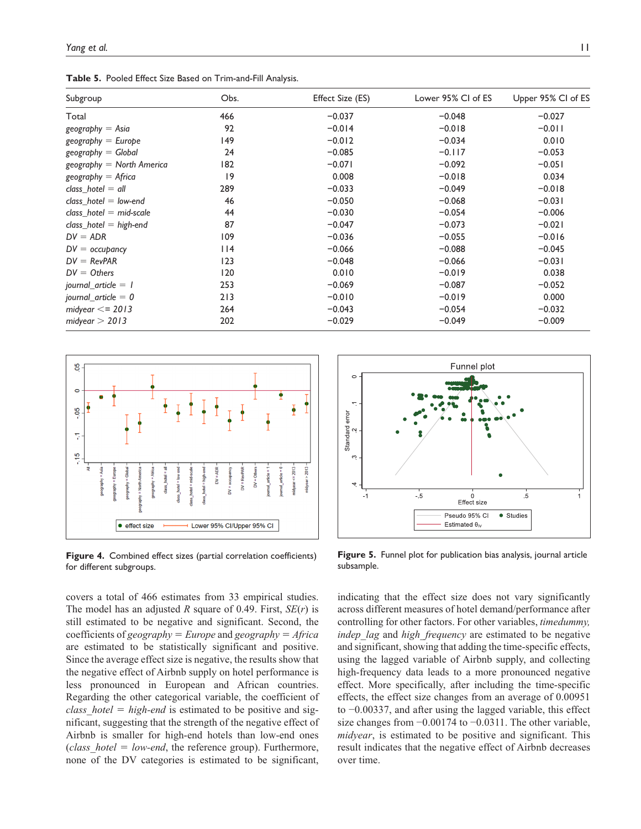**Table 5.** Pooled Effect Size Based on Trim-and-Fill Analysis.

| Subgroup                    | Obs. | Effect Size (ES) | Lower 95% CI of ES | Upper 95% CI of ES |
|-----------------------------|------|------------------|--------------------|--------------------|
| Total                       | 466  | $-0.037$         | $-0.048$           | $-0.027$           |
| $geography = Asia$          | 92   | $-0.014$         | $-0.018$           | $-0.011$           |
| $geography = Europe$        | 149  | $-0.012$         | $-0.034$           | 0.010              |
| $geography = Global$        | 24   | $-0.085$         | $-0.117$           | $-0.053$           |
| $geography = North America$ | 182  | $-0.071$         | $-0.092$           | $-0.051$           |
| $geography = Africa$        | 19   | 0.008            | $-0.018$           | 0.034              |
| class hotel $=$ all         | 289  | $-0.033$         | $-0.049$           | $-0.018$           |
| class hotel $=$ low-end     | 46   | $-0.050$         | $-0.068$           | $-0.031$           |
| class hotel $=$ mid-scale   | 44   | $-0.030$         | $-0.054$           | $-0.006$           |
| $class\_hotel = high-end$   | 87   | $-0.047$         | $-0.073$           | $-0.021$           |
| $DV = ADR$                  | 109  | $-0.036$         | $-0.055$           | $-0.016$           |
| $DV =$ occupancy            | 114  | $-0.066$         | $-0.088$           | $-0.045$           |
| $DV = RevPAR$               | 123  | $-0.048$         | $-0.066$           | $-0.031$           |
| $DV = Others$               | 120  | 0.010            | $-0.019$           | 0.038              |
| journal article $=$ 1       | 253  | $-0.069$         | $-0.087$           | $-0.052$           |
| journal_article = $0$       | 213  | $-0.010$         | $-0.019$           | 0.000              |
| midyear $<=$ 2013           | 264  | $-0.043$         | $-0.054$           | $-0.032$           |
| midyear $> 2013$            | 202  | $-0.029$         | $-0.049$           | $-0.009$           |



**Figure 4.** Combined effect sizes (partial correlation coefficients) for different subgroups.

covers a total of 466 estimates from 33 empirical studies. The model has an adjusted *R* square of 0.49. First, *SE*(*r*) is still estimated to be negative and significant. Second, the coefficients of *geography* = *Europe* and *geography* = *Africa* are estimated to be statistically significant and positive. Since the average effect size is negative, the results show that the negative effect of Airbnb supply on hotel performance is less pronounced in European and African countries. Regarding the other categorical variable, the coefficient of *class\_hotel* = *high-end* is estimated to be positive and significant, suggesting that the strength of the negative effect of Airbnb is smaller for high-end hotels than low-end ones (*class\_hotel* = *low-end*, the reference group). Furthermore, none of the DV categories is estimated to be significant,



**Figure 5.** Funnel plot for publication bias analysis, journal article subsample.

indicating that the effect size does not vary significantly across different measures of hotel demand/performance after controlling for other factors. For other variables, *timedummy, indep lag* and *high frequency* are estimated to be negative and significant, showing that adding the time-specific effects, using the lagged variable of Airbnb supply, and collecting high-frequency data leads to a more pronounced negative effect. More specifically, after including the time-specific effects, the effect size changes from an average of 0.00951 to −0.00337, and after using the lagged variable, this effect size changes from −0.00174 to −0.0311. The other variable, *midyear*, is estimated to be positive and significant. This result indicates that the negative effect of Airbnb decreases over time.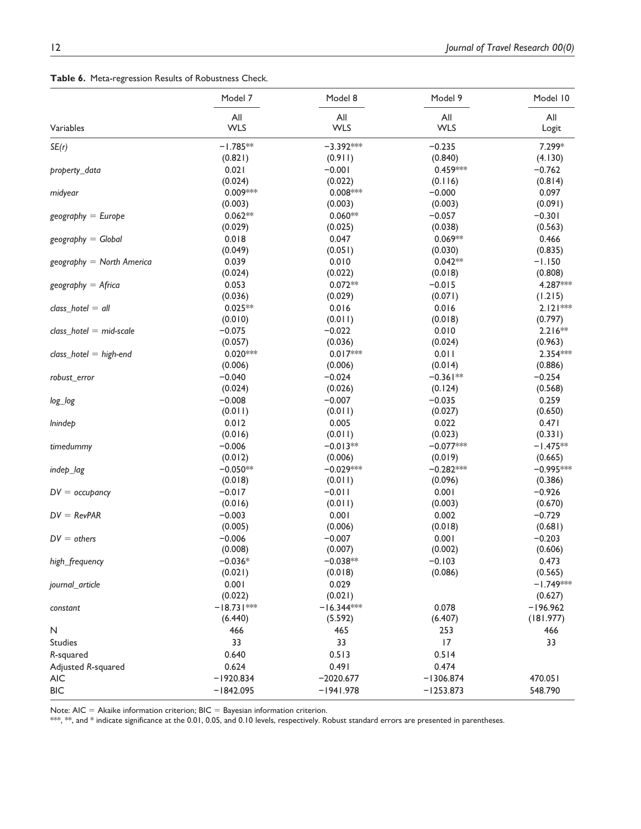|  | Table 6. Meta-regression Results of Robustness Check. |  |  |  |
|--|-------------------------------------------------------|--|--|--|
|--|-------------------------------------------------------|--|--|--|

|                             | Model 7      | Model 8      | Model 9     | Model 10    |
|-----------------------------|--------------|--------------|-------------|-------------|
|                             | All          | All          | All         | All         |
| Variables                   | <b>WLS</b>   | <b>WLS</b>   | <b>WLS</b>  | Logit       |
| SE(r)                       | $-1.785**$   | $-3.392***$  | $-0.235$    | 7.299*      |
|                             | (0.821)      | (0.911)      | (0.840)     | (4.130)     |
| property_data               | 0.021        | $-0.001$     | 0.459***    | $-0.762$    |
|                             | (0.024)      | (0.022)      | (0.116)     | (0.814)     |
| midyear                     | 0.009***     | $0.008***$   | $-0.000$    | 0.097       |
|                             | (0.003)      | (0.003)      | (0.003)     | (0.091)     |
| $geography = Europe$        | $0.062**$    | $0.060**$    | $-0.057$    | $-0.301$    |
|                             | (0.029)      | (0.025)      | (0.038)     | (0.563)     |
| $geography = Global$        | 0.018        | 0.047        | $0.069**$   | 0.466       |
|                             | (0.049)      | (0.051)      | (0.030)     | (0.835)     |
| $geography = North America$ | 0.039        | 0.010        | $0.042**$   | $-1.150$    |
|                             | (0.024)      | (0.022)      | (0.018)     | (0.808)     |
| $geography = Africa$        | 0.053        | $0.072**$    | $-0.015$    | 4.287 ***   |
|                             | (0.036)      | (0.029)      | (0.071)     | (1.215)     |
| $class\_hotel = all$        | $0.025**$    | 0.016        | 0.016       | $2.121***$  |
|                             | (0.010)      | (0.011)      | (0.018)     | (0.797)     |
|                             | $-0.075$     | $-0.022$     | 0.010       | $2.216**$   |
| $class\_hotel = mid-scale$  | (0.057)      | (0.036)      |             |             |
|                             |              |              | (0.024)     | (0.963)     |
| class_hotel = high-end      | $0.020***$   | $0.017***$   | 0.011       | 2.354 ***   |
|                             | (0.006)      | (0.006)      | (0.014)     | (0.886)     |
| robust_error                | $-0.040$     | $-0.024$     | $-0.361**$  | $-0.254$    |
|                             | (0.024)      | (0.026)      | (0.124)     | (0.568)     |
| log_log                     | $-0.008$     | $-0.007$     | $-0.035$    | 0.259       |
|                             | (0.011)      | (0.011)      | (0.027)     | (0.650)     |
| <i>lnindep</i>              | 0.012        | 0.005        | 0.022       | 0.471       |
|                             | (0.016)      | (0.011)      | (0.023)     | (0.331)     |
| timedummy                   | $-0.006$     | $-0.013**$   | $-0.077***$ | $-1.475**$  |
|                             | (0.012)      | (0.006)      | (0.019)     | (0.665)     |
| indep_lag                   | $-0.050**$   | $-0.029***$  | $-0.282***$ | $-0.995***$ |
|                             | (0.018)      | (0.011)      | (0.096)     | (0.386)     |
| $DV =$ occupancy            | $-0.017$     | $-0.011$     | 0.001       | $-0.926$    |
|                             | (0.016)      | (0.011)      | (0.003)     | (0.670)     |
| $DV = RevPAR$               | $-0.003$     | 0.001        | 0.002       | $-0.729$    |
|                             | (0.005)      | (0.006)      | (0.018)     | (0.681)     |
| $DV = others$               | $-0.006$     | $-0.007$     | 0.001       | $-0.203$    |
|                             | (0.008)      | (0.007)      | (0.002)     | (0.606)     |
| high_frequency              | $-0.036*$    | $-0.038**$   | $-0.103$    | 0.473       |
|                             | (0.021)      | (0.018)      | (0.086)     | (0.565)     |
| journal_article             | 0.001        | 0.029        |             | $-1.749***$ |
|                             | (0.022)      | (0.021)      |             | (0.627)     |
| constant                    | $-18.731***$ | $-16.344***$ | 0.078       | $-196.962$  |
|                             | (6.440)      | (5.592)      | (6.407)     | (181.977)   |
| N                           | 466          | 465          | 253         | 466         |
| Studies                     | 33           | 33           | 17          | 33          |
| R-squared                   | 0.640        | 0.513        | 0.514       |             |
| Adjusted R-squared          | 0.624        | 0.491        | 0.474       |             |
| <b>AIC</b>                  | $-1920.834$  | $-2020.677$  | $-1306.874$ | 470.051     |
| <b>BIC</b>                  | $-1842.095$  | $-1941.978$  | $-1253.873$ | 548.790     |
|                             |              |              |             |             |

Note:  $AIC = Akaike information criterion; BIC = Bayesian information criterion.$ 

 $^{***}$ ,  $^{***}$ , and  $^{*}$  indicate significance at the 0.01, 0.05, and 0.10 levels, respectively. Robust standard errors are presented in parentheses.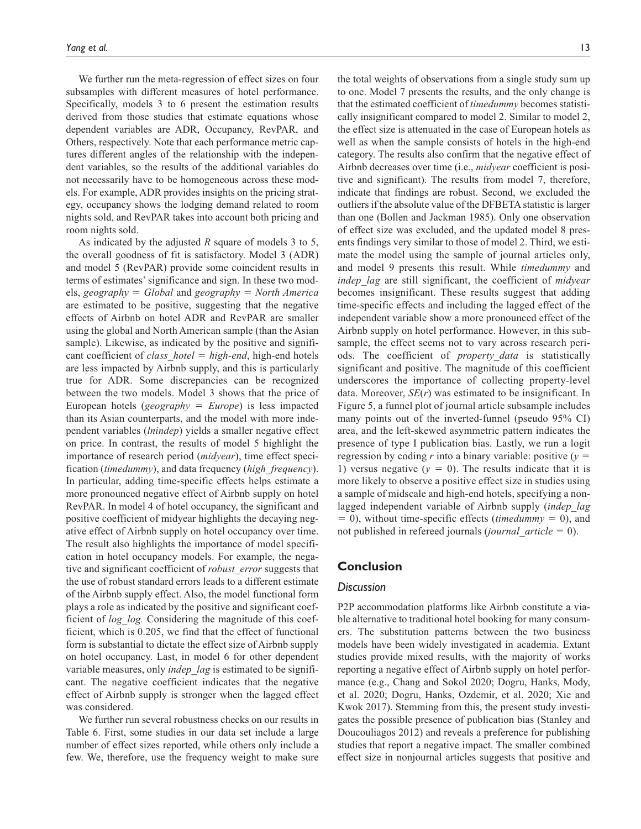We further run the meta-regression of effect sizes on four subsamples with different measures of hotel performance. Specifically, models 3 to 6 present the estimation results derived from those studies that estimate equations whose dependent variables are ADR, Occupancy, RevPAR, and Others, respectively. Note that each performance metric captures different angles of the relationship with the independent variables, so the results of the additional variables do not necessarily have to be homogeneous across these models. For example, ADR provides insights on the pricing strategy, occupancy shows the lodging demand related to room nights sold, and RevPAR takes into account both pricing and room nights sold.

As indicated by the adjusted *R* square of models 3 to 5, the overall goodness of fit is satisfactory. Model 3 (ADR) and model 5 (RevPAR) provide some coincident results in terms of estimates' significance and sign. In these two models, *geography* = *Global* and *geography* = *North America* are estimated to be positive, suggesting that the negative effects of Airbnb on hotel ADR and RevPAR are smaller using the global and North American sample (than the Asian sample). Likewise, as indicated by the positive and significant coefficient of *class\_hotel* = *high-end*, high-end hotels are less impacted by Airbnb supply, and this is particularly true for ADR. Some discrepancies can be recognized between the two models. Model 3 shows that the price of European hotels (*geography* = *Europe*) is less impacted than its Asian counterparts, and the model with more independent variables (*lnindep*) yields a smaller negative effect on price. In contrast, the results of model 5 highlight the importance of research period (*midyear*), time effect specification (*timedummy*), and data frequency (*high\_frequency*). In particular, adding time-specific effects helps estimate a more pronounced negative effect of Airbnb supply on hotel RevPAR. In model 4 of hotel occupancy, the significant and positive coefficient of midyear highlights the decaying negative effect of Airbnb supply on hotel occupancy over time. The result also highlights the importance of model specification in hotel occupancy models. For example, the negative and significant coefficient of *robust\_error* suggests that the use of robust standard errors leads to a different estimate of the Airbnb supply effect. Also, the model functional form plays a role as indicated by the positive and significant coefficient of *log\_log.* Considering the magnitude of this coefficient, which is 0.205, we find that the effect of functional form is substantial to dictate the effect size of Airbnb supply on hotel occupancy. Last, in model 6 for other dependent variable measures, only *indep\_lag* is estimated to be significant. The negative coefficient indicates that the negative effect of Airbnb supply is stronger when the lagged effect was considered.

We further run several robustness checks on our results in Table 6. First, some studies in our data set include a large number of effect sizes reported, while others only include a few. We, therefore, use the frequency weight to make sure

the total weights of observations from a single study sum up to one. Model 7 presents the results, and the only change is that the estimated coefficient of *timedummy* becomes statistically insignificant compared to model 2. Similar to model 2, the effect size is attenuated in the case of European hotels as well as when the sample consists of hotels in the high-end category. The results also confirm that the negative effect of Airbnb decreases over time (i.e., *midyear* coefficient is positive and significant). The results from model 7, therefore, indicate that findings are robust. Second, we excluded the outliers if the absolute value of the DFBETA statistic is larger than one (Bollen and Jackman 1985). Only one observation

of effect size was excluded, and the updated model 8 presents findings very similar to those of model 2. Third, we estimate the model using the sample of journal articles only, and model 9 presents this result. While *timedummy* and *indep\_lag* are still significant, the coefficient of *midyear* becomes insignificant. These results suggest that adding time-specific effects and including the lagged effect of the independent variable show a more pronounced effect of the Airbnb supply on hotel performance. However, in this subsample, the effect seems not to vary across research periods. The coefficient of *property\_data* is statistically significant and positive. The magnitude of this coefficient underscores the importance of collecting property-level data. Moreover, *SE*(*r*) was estimated to be insignificant. In Figure 5, a funnel plot of journal article subsample includes many points out of the inverted-funnel (pseudo 95% CI) area, and the left-skewed asymmetric pattern indicates the presence of type I publication bias. Lastly, we run a logit regression by coding *r* into a binary variable: positive  $(y =$ 1) versus negative  $(y = 0)$ . The results indicate that it is more likely to observe a positive effect size in studies using a sample of midscale and high-end hotels, specifying a nonlagged independent variable of Airbnb supply (*indep\_lag* = 0), without time-specific effects (*timedummy* = 0), and not published in refereed journals (*journal\_article* = 0).

## **Conclusion**

#### *Discussion*

P2P accommodation platforms like Airbnb constitute a viable alternative to traditional hotel booking for many consumers. The substitution patterns between the two business models have been widely investigated in academia. Extant studies provide mixed results, with the majority of works reporting a negative effect of Airbnb supply on hotel performance (e.g., Chang and Sokol 2020; Dogru, Hanks, Mody, et al. 2020; Dogru, Hanks, Ozdemir, et al. 2020; Xie and Kwok 2017). Stemming from this, the present study investigates the possible presence of publication bias (Stanley and Doucouliagos 2012) and reveals a preference for publishing studies that report a negative impact. The smaller combined effect size in nonjournal articles suggests that positive and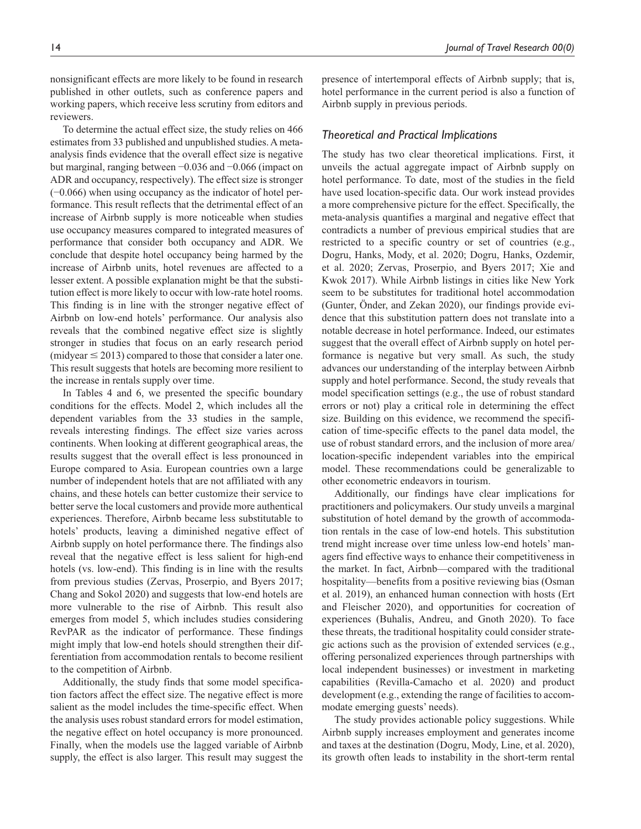nonsignificant effects are more likely to be found in research published in other outlets, such as conference papers and working papers, which receive less scrutiny from editors and reviewers.

To determine the actual effect size, the study relies on 466 estimates from 33 published and unpublished studies. A metaanalysis finds evidence that the overall effect size is negative but marginal, ranging between −0.036 and −0.066 (impact on ADR and occupancy, respectively). The effect size is stronger (−0.066) when using occupancy as the indicator of hotel performance. This result reflects that the detrimental effect of an increase of Airbnb supply is more noticeable when studies use occupancy measures compared to integrated measures of performance that consider both occupancy and ADR. We conclude that despite hotel occupancy being harmed by the increase of Airbnb units, hotel revenues are affected to a lesser extent. A possible explanation might be that the substitution effect is more likely to occur with low-rate hotel rooms. This finding is in line with the stronger negative effect of Airbnb on low-end hotels' performance. Our analysis also reveals that the combined negative effect size is slightly stronger in studies that focus on an early research period  $(midyear \le 2013)$  compared to those that consider a later one. This result suggests that hotels are becoming more resilient to the increase in rentals supply over time.

In Tables 4 and 6, we presented the specific boundary conditions for the effects. Model 2, which includes all the dependent variables from the 33 studies in the sample, reveals interesting findings. The effect size varies across continents. When looking at different geographical areas, the results suggest that the overall effect is less pronounced in Europe compared to Asia. European countries own a large number of independent hotels that are not affiliated with any chains, and these hotels can better customize their service to better serve the local customers and provide more authentical experiences. Therefore, Airbnb became less substitutable to hotels' products, leaving a diminished negative effect of Airbnb supply on hotel performance there. The findings also reveal that the negative effect is less salient for high-end hotels (vs. low-end). This finding is in line with the results from previous studies (Zervas, Proserpio, and Byers 2017; Chang and Sokol 2020) and suggests that low-end hotels are more vulnerable to the rise of Airbnb. This result also emerges from model 5, which includes studies considering RevPAR as the indicator of performance. These findings might imply that low-end hotels should strengthen their differentiation from accommodation rentals to become resilient to the competition of Airbnb.

Additionally, the study finds that some model specification factors affect the effect size. The negative effect is more salient as the model includes the time-specific effect. When the analysis uses robust standard errors for model estimation, the negative effect on hotel occupancy is more pronounced. Finally, when the models use the lagged variable of Airbnb supply, the effect is also larger. This result may suggest the presence of intertemporal effects of Airbnb supply; that is, hotel performance in the current period is also a function of Airbnb supply in previous periods.

#### *Theoretical and Practical Implications*

The study has two clear theoretical implications. First, it unveils the actual aggregate impact of Airbnb supply on hotel performance. To date, most of the studies in the field have used location-specific data. Our work instead provides a more comprehensive picture for the effect. Specifically, the meta-analysis quantifies a marginal and negative effect that contradicts a number of previous empirical studies that are restricted to a specific country or set of countries (e.g., Dogru, Hanks, Mody, et al. 2020; Dogru, Hanks, Ozdemir, et al. 2020; Zervas, Proserpio, and Byers 2017; Xie and Kwok 2017). While Airbnb listings in cities like New York seem to be substitutes for traditional hotel accommodation (Gunter, Önder, and Zekan 2020), our findings provide evidence that this substitution pattern does not translate into a notable decrease in hotel performance. Indeed, our estimates suggest that the overall effect of Airbnb supply on hotel performance is negative but very small. As such, the study advances our understanding of the interplay between Airbnb supply and hotel performance. Second, the study reveals that model specification settings (e.g., the use of robust standard errors or not) play a critical role in determining the effect size. Building on this evidence, we recommend the specification of time-specific effects to the panel data model, the use of robust standard errors, and the inclusion of more area/ location-specific independent variables into the empirical model. These recommendations could be generalizable to other econometric endeavors in tourism.

Additionally, our findings have clear implications for practitioners and policymakers. Our study unveils a marginal substitution of hotel demand by the growth of accommodation rentals in the case of low-end hotels. This substitution trend might increase over time unless low-end hotels' managers find effective ways to enhance their competitiveness in the market. In fact, Airbnb—compared with the traditional hospitality—benefits from a positive reviewing bias (Osman et al. 2019), an enhanced human connection with hosts (Ert and Fleischer 2020), and opportunities for cocreation of experiences (Buhalis, Andreu, and Gnoth 2020). To face these threats, the traditional hospitality could consider strategic actions such as the provision of extended services (e.g., offering personalized experiences through partnerships with local independent businesses) or investment in marketing capabilities (Revilla-Camacho et al. 2020) and product development (e.g., extending the range of facilities to accommodate emerging guests' needs).

The study provides actionable policy suggestions. While Airbnb supply increases employment and generates income and taxes at the destination (Dogru, Mody, Line, et al. 2020), its growth often leads to instability in the short-term rental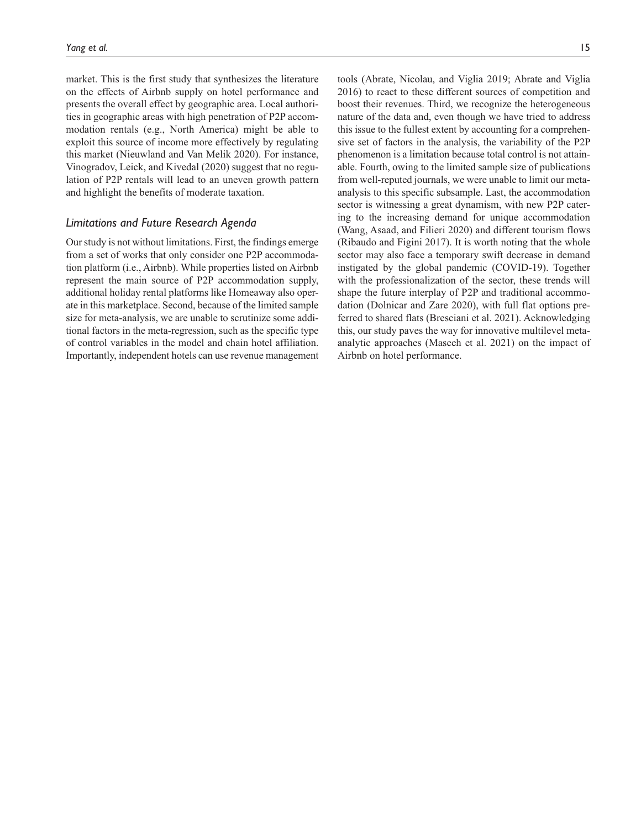market. This is the first study that synthesizes the literature on the effects of Airbnb supply on hotel performance and presents the overall effect by geographic area. Local authorities in geographic areas with high penetration of P2P accommodation rentals (e.g., North America) might be able to exploit this source of income more effectively by regulating this market (Nieuwland and Van Melik 2020). For instance, Vinogradov, Leick, and Kivedal (2020) suggest that no regulation of P2P rentals will lead to an uneven growth pattern and highlight the benefits of moderate taxation.

## *Limitations and Future Research Agenda*

Our study is not without limitations. First, the findings emerge from a set of works that only consider one P2P accommodation platform (i.e., Airbnb). While properties listed on Airbnb represent the main source of P2P accommodation supply, additional holiday rental platforms like Homeaway also operate in this marketplace. Second, because of the limited sample size for meta-analysis, we are unable to scrutinize some additional factors in the meta-regression, such as the specific type of control variables in the model and chain hotel affiliation. Importantly, independent hotels can use revenue management

tools (Abrate, Nicolau, and Viglia 2019; Abrate and Viglia 2016) to react to these different sources of competition and boost their revenues. Third, we recognize the heterogeneous nature of the data and, even though we have tried to address this issue to the fullest extent by accounting for a comprehensive set of factors in the analysis, the variability of the P2P phenomenon is a limitation because total control is not attainable. Fourth, owing to the limited sample size of publications from well-reputed journals, we were unable to limit our metaanalysis to this specific subsample. Last, the accommodation sector is witnessing a great dynamism, with new P2P catering to the increasing demand for unique accommodation (Wang, Asaad, and Filieri 2020) and different tourism flows (Ribaudo and Figini 2017). It is worth noting that the whole sector may also face a temporary swift decrease in demand instigated by the global pandemic (COVID-19). Together with the professionalization of the sector, these trends will shape the future interplay of P2P and traditional accommodation (Dolnicar and Zare 2020), with full flat options preferred to shared flats (Bresciani et al. 2021). Acknowledging this, our study paves the way for innovative multilevel metaanalytic approaches (Maseeh et al. 2021) on the impact of Airbnb on hotel performance.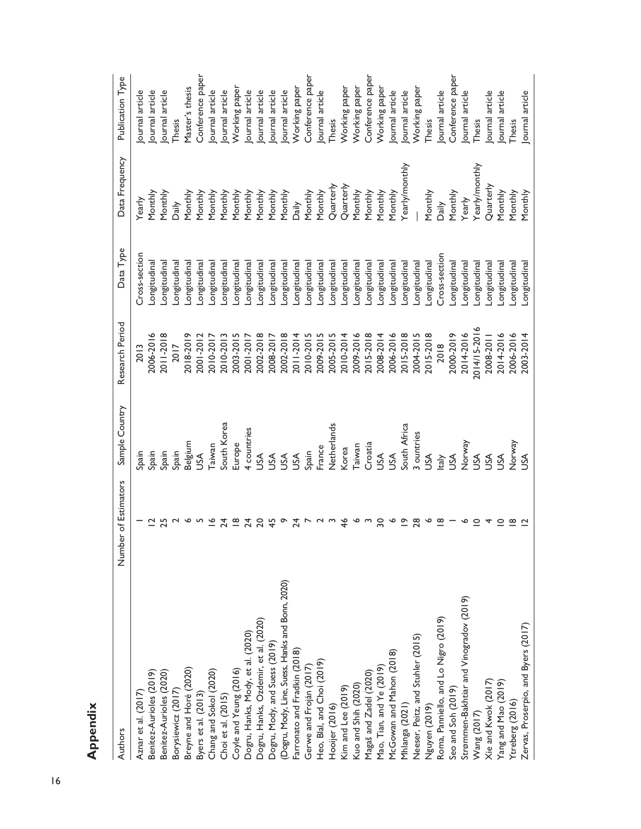**Appendix**

| Authors                                          | of Estimators<br>Number | Sample Country | Research Period | Data Type     | Data Frequency | Publication Type |
|--------------------------------------------------|-------------------------|----------------|-----------------|---------------|----------------|------------------|
| Aznar et al. (2017)                              |                         | Spain          | 2013            | Cross-section | Yearly         | ournal article   |
| Benitez-Aurioles (2019)                          |                         | Spain          | 2006-2016       | .ongitudinal  | Monthly        | ournal article   |
| Benitez-Aurioles (2020)                          | 25                      | Spain          | 2011-2018       | ongitudinal   | Monthly        | ournal article   |
| Borysiewicz (2017)                               |                         | Spain          | 2017            | ongitudinal   | Daily          | Thesis           |
| Breyne and Horé (2020)                           | ∾                       | Belgium        | 2018-2019       | ongitudina    | Monthly        | Master's thesis  |
| Byers et al. (2013)                              |                         | SSL            | 2001-2012       | ongitudinal   | <b>Monthly</b> | Conference paper |
| Chang and Sokol (2020)<br>Choi et al. (2015)     | $\leq$                  | Taiwan         | 2010-2017       | ongitudina    | Monthly        | ournal article   |
|                                                  | $\overline{4}$          | South Korea    | 2010-2013       | .ongitudinal  | Monthly        | ournal article   |
| Coyle and Yeung (2016)                           | $\frac{\infty}{\infty}$ | Europe         | 2003-2015       | -ongitudinal  | Monthly        | Working paper    |
| Dogru, Hanks, Mody, et al. (2020)                | 24                      | 4 countries    | 2001-2017       | ongitudina    | Monthly        | ournal article   |
| Dogru, Hanks, Ozdemir, et al. (2020)             | $\overline{c}$          | SA             | 2002-2018       | ongitudina    | Monthly        | ournal article   |
| Dogru, Mody, and Suess (2019)                    | 45                      | SA             | 2008-2017       | ongitudinal   | Monthly        | ournal article   |
| (Dogru, Mody, Line, Suess, Hanks and Bonn, 2020) | ᡐ                       | Α              | 2002-2018       | ongitudinal   | Monthly        | ournal article   |
| Farronato and Fradkin (2018)                     | 24                      | SS             | 2011-2014       | ongitudinal   | Daily          | Working paper    |
| Gerwe and Froján (2017)                          |                         | Spain          | 2010-2015       | ongitudinal   | Monthly        | Conference paper |
| Heo, Blal, and Choi (2019)                       |                         | France         | 2009-2015       | ongitudinal   | Monthly        | ournal article   |
|                                                  |                         | Netherlands    | 2005-2015       | ongitudina    | Quarterly      | Thesis           |
| Hooijer (2016)<br>Kim and Lee (2019)             | $\frac{4}{6}$           | Korea          | 2010-2014       | ongitudina    | Quarterly      | Working paper    |
| Kuo and Shih (2020)                              | ∾                       | Taiwan         | 2009-2016       | ongitudina    | Monthly        | Working paper    |
| Magaš and Zadel (2020)                           |                         | Croatia        | 2015-2018       | ongitudina    | Monthly        | Conference paper |
| Mao, Tian, and Ye (2019)                         | $\overline{30}$         | SA             | 2008-2014       | ongitudinal   | Monthly        | Working paper    |
| McGowan and Mahon (2018)                         | P                       | SS             | 2006-2016       | ongitudinal   | Monthly        | ournal article   |
| Mhlanga (2021)                                   | $\tilde{=}$             | South Africa   | 2015-2018       | ongitudina    | rearly/monthly | ournal article   |
| Neeser, Peitz, and Stuhler (2015)                | 28                      | 3 ountries     | 2004-2015       | -ongitudina   |                | Working paper    |
| Nguyen (2019)                                    | ∾                       | SA             | 2015-2018       | ongitudinal   | Monthly        | Thesis           |
| Roma, Panniello, and Lo Nigro (2019)             | $\overline{8}$          | taly           | 2018            | Cross-section | Daily          | ournal article   |
| Seo and Soh (2019)                               |                         | SS             | 2000-2019       | ongitudinal   | Monthly        | Conference paper |
| Strømmen-Bakhtiar and Vinogradov (2019)          |                         | Vorway         | 2014-2016       | ongitudinal   | Yearly         | ournal article   |
| Wang (2017)                                      | $\circ$                 | SA             | 2014/15-2016    | ongitudinal   | rearly/monthly | Thesis           |
| Xie and Kwok (2017)                              | 4                       | SA             | 2008-2011       | ongitudinal   | Quarterly      | ournal article   |
| Yang and Mao (2019)                              | $\subseteq$             | <b>A</b>       | 2014-2016       | ongitudinal   | Monthly        | ournal article   |
| Ytreberg (2016)                                  | $\infty$                | Vorway         | 2006-2016       | -ongitudinal  | Monthly        | Thesis           |
| Zervas, Proserpio, and Byers (2017)              |                         | SA             | 2003-2014       | -ongitudinal  | Monthly        | Journal article  |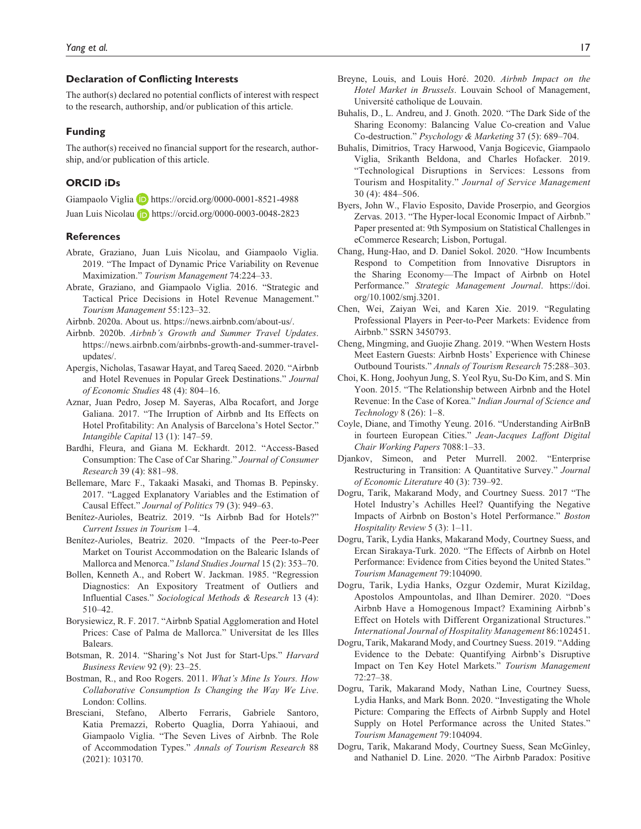#### **Declaration of Conflicting Interests**

The author(s) declared no potential conflicts of interest with respect to the research, authorship, and/or publication of this article.

#### **Funding**

The author(s) received no financial support for the research, authorship, and/or publication of this article.

#### **ORCID iDs**

Giampaolo Viglia D <https://orcid.org/0000-0001-8521-4988> Juan Luis Nicolau **b** <https://orcid.org/0000-0003-0048-2823>

#### **References**

- Abrate, Graziano, Juan Luis Nicolau, and Giampaolo Viglia. 2019. "The Impact of Dynamic Price Variability on Revenue Maximization." *Tourism Management* 74:224–33.
- Abrate, Graziano, and Giampaolo Viglia. 2016. "Strategic and Tactical Price Decisions in Hotel Revenue Management." *Tourism Management* 55:123–32.
- Airbnb. 2020a. About us. <https://news.airbnb.com/about-us/>.
- Airbnb. 2020b. *Airbnb's Growth and Summer Travel Updates*. [https://news.airbnb.com/airbnbs-growth-and-summer-travel](https://news.airbnb.com/airbnbs-growth-and-summer-travel-updates/)[updates/.](https://news.airbnb.com/airbnbs-growth-and-summer-travel-updates/)
- Apergis, Nicholas, Tasawar Hayat, and Tareq Saeed. 2020. "Airbnb and Hotel Revenues in Popular Greek Destinations." *Journal of Economic Studies* 48 (4): 804–16.
- Aznar, Juan Pedro, Josep M. Sayeras, Alba Rocafort, and Jorge Galiana. 2017. "The Irruption of Airbnb and Its Effects on Hotel Profitability: An Analysis of Barcelona's Hotel Sector." *Intangible Capital* 13 (1): 147–59.
- Bardhi, Fleura, and Giana M. Eckhardt. 2012. "Access-Based Consumption: The Case of Car Sharing." *Journal of Consumer Research* 39 (4): 881–98.
- Bellemare, Marc F., Takaaki Masaki, and Thomas B. Pepinsky. 2017. "Lagged Explanatory Variables and the Estimation of Causal Effect." *Journal of Politics* 79 (3): 949–63.
- Benítez-Aurioles, Beatriz. 2019. "Is Airbnb Bad for Hotels?" *Current Issues in Tourism* 1–4.
- Benítez-Aurioles, Beatriz. 2020. "Impacts of the Peer-to-Peer Market on Tourist Accommodation on the Balearic Islands of Mallorca and Menorca." *Island Studies Journal* 15 (2): 353–70.
- Bollen, Kenneth A., and Robert W. Jackman. 1985. "Regression Diagnostics: An Expository Treatment of Outliers and Influential Cases." *Sociological Methods & Research* 13 (4): 510–42.
- Borysiewicz, R. F. 2017. "Airbnb Spatial Agglomeration and Hotel Prices: Case of Palma de Mallorca." Universitat de les Illes Balears.
- Botsman, R. 2014. "Sharing's Not Just for Start-Ups." *Harvard Business Review* 92 (9): 23–25.
- Bostman, R., and Roo Rogers. 2011. *What's Mine Is Yours. How Collaborative Consumption Is Changing the Way We Live*. London: Collins.
- Bresciani, Stefano, Alberto Ferraris, Gabriele Santoro, Katia Premazzi, Roberto Quaglia, Dorra Yahiaoui, and Giampaolo Viglia. "The Seven Lives of Airbnb. The Role of Accommodation Types." *Annals of Tourism Research* 88 (2021): 103170.
- Breyne, Louis, and Louis Horé. 2020. *Airbnb Impact on the Hotel Market in Brussels*. Louvain School of Management, Université catholique de Louvain.
- Buhalis, D., L. Andreu, and J. Gnoth. 2020. "The Dark Side of the Sharing Economy: Balancing Value Co-creation and Value Co-destruction." *Psychology & Marketing* 37 (5): 689–704.
- Buhalis, Dimitrios, Tracy Harwood, Vanja Bogicevic, Giampaolo Viglia, Srikanth Beldona, and Charles Hofacker. 2019. "Technological Disruptions in Services: Lessons from Tourism and Hospitality." *Journal of Service Management* 30 (4): 484–506.
- Byers, John W., Flavio Esposito, Davide Proserpio, and Georgios Zervas. 2013. "The Hyper-local Economic Impact of Airbnb." Paper presented at: 9th Symposium on Statistical Challenges in eCommerce Research; Lisbon, Portugal.
- Chang, Hung-Hao, and D. Daniel Sokol. 2020. "How Incumbents Respond to Competition from Innovative Disruptors in the Sharing Economy—The Impact of Airbnb on Hotel Performance." *Strategic Management Journal*. [https://doi.](https://doi.org/10.1002/smj.3201) [org/10.1002/smj.3201](https://doi.org/10.1002/smj.3201).
- Chen, Wei, Zaiyan Wei, and Karen Xie. 2019. "Regulating Professional Players in Peer-to-Peer Markets: Evidence from Airbnb." SSRN 3450793.
- Cheng, Mingming, and Guojie Zhang. 2019. "When Western Hosts Meet Eastern Guests: Airbnb Hosts' Experience with Chinese Outbound Tourists." *Annals of Tourism Research* 75:288–303.
- Choi, K. Hong, Joohyun Jung, S. Yeol Ryu, Su-Do Kim, and S. Min Yoon. 2015. "The Relationship between Airbnb and the Hotel Revenue: In the Case of Korea." *Indian Journal of Science and Technology* 8 (26): 1–8.
- Coyle, Diane, and Timothy Yeung. 2016. "Understanding AirBnB in fourteen European Cities." *Jean-Jacques Laffont Digital Chair Working Papers* 7088:1–33.
- Djankov, Simeon, and Peter Murrell. 2002. "Enterprise Restructuring in Transition: A Quantitative Survey." *Journal of Economic Literature* 40 (3): 739–92.
- Dogru, Tarik, Makarand Mody, and Courtney Suess. 2017 "The Hotel Industry's Achilles Heel? Quantifying the Negative Impacts of Airbnb on Boston's Hotel Performance." *Boston Hospitality Review* 5 (3): 1–11.
- Dogru, Tarik, Lydia Hanks, Makarand Mody, Courtney Suess, and Ercan Sirakaya-Turk. 2020. "The Effects of Airbnb on Hotel Performance: Evidence from Cities beyond the United States." *Tourism Management* 79:104090.
- Dogru, Tarik, Lydia Hanks, Ozgur Ozdemir, Murat Kizildag, Apostolos Ampountolas, and Ilhan Demirer. 2020. "Does Airbnb Have a Homogenous Impact? Examining Airbnb's Effect on Hotels with Different Organizational Structures." *International Journal of Hospitality Management* 86:102451.
- Dogru, Tarik, Makarand Mody, and Courtney Suess. 2019. "Adding Evidence to the Debate: Quantifying Airbnb's Disruptive Impact on Ten Key Hotel Markets." *Tourism Management* 72:27–38.
- Dogru, Tarik, Makarand Mody, Nathan Line, Courtney Suess, Lydia Hanks, and Mark Bonn. 2020. "Investigating the Whole Picture: Comparing the Effects of Airbnb Supply and Hotel Supply on Hotel Performance across the United States." *Tourism Management* 79:104094.
- Dogru, Tarik, Makarand Mody, Courtney Suess, Sean McGinley, and Nathaniel D. Line. 2020. "The Airbnb Paradox: Positive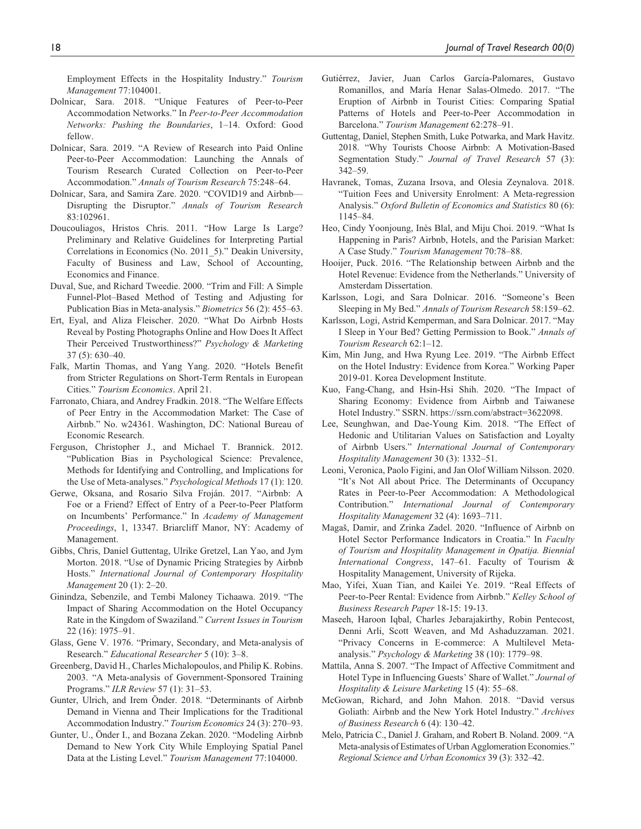Employment Effects in the Hospitality Industry." *Tourism Management* 77:104001.

- Dolnicar, Sara. 2018. "Unique Features of Peer-to-Peer Accommodation Networks." In *Peer-to-Peer Accommodation Networks: Pushing the Boundaries*, 1–14. Oxford: Good fellow.
- Dolnicar, Sara. 2019. "A Review of Research into Paid Online Peer-to-Peer Accommodation: Launching the Annals of Tourism Research Curated Collection on Peer-to-Peer Accommodation." *Annals of Tourism Research* 75:248–64.
- Dolnicar, Sara, and Samira Zare. 2020. "COVID19 and Airbnb— Disrupting the Disruptor." *Annals of Tourism Research* 83:102961.
- Doucouliagos, Hristos Chris. 2011. "How Large Is Large? Preliminary and Relative Guidelines for Interpreting Partial Correlations in Economics (No. 2011\_5)." Deakin University, Faculty of Business and Law, School of Accounting, Economics and Finance.
- Duval, Sue, and Richard Tweedie. 2000. "Trim and Fill: A Simple Funnel-Plot–Based Method of Testing and Adjusting for Publication Bias in Meta-analysis." *Biometrics* 56 (2): 455–63.
- Ert, Eyal, and Aliza Fleischer. 2020. "What Do Airbnb Hosts Reveal by Posting Photographs Online and How Does It Affect Their Perceived Trustworthiness?" *Psychology & Marketing* 37 (5): 630–40.
- Falk, Martin Thomas, and Yang Yang. 2020. "Hotels Benefit from Stricter Regulations on Short-Term Rentals in European Cities." *Tourism Economics*. April 21.
- Farronato, Chiara, and Andrey Fradkin. 2018. "The Welfare Effects of Peer Entry in the Accommodation Market: The Case of Airbnb." No. w24361. Washington, DC: National Bureau of Economic Research.
- Ferguson, Christopher J., and Michael T. Brannick. 2012. "Publication Bias in Psychological Science: Prevalence, Methods for Identifying and Controlling, and Implications for the Use of Meta-analyses." *Psychological Methods* 17 (1): 120.
- Gerwe, Oksana, and Rosario Silva Froján. 2017. "Airbnb: A Foe or a Friend? Effect of Entry of a Peer-to-Peer Platform on Incumbents' Performance." In *Academy of Management Proceedings*, 1, 13347. Briarcliff Manor, NY: Academy of Management.
- Gibbs, Chris, Daniel Guttentag, Ulrike Gretzel, Lan Yao, and Jym Morton. 2018. "Use of Dynamic Pricing Strategies by Airbnb Hosts." *International Journal of Contemporary Hospitality Management* 20 (1): 2–20.
- Ginindza, Sebenzile, and Tembi Maloney Tichaawa. 2019. "The Impact of Sharing Accommodation on the Hotel Occupancy Rate in the Kingdom of Swaziland." *Current Issues in Tourism* 22 (16): 1975–91.
- Glass, Gene V. 1976. "Primary, Secondary, and Meta-analysis of Research." *Educational Researcher* 5 (10): 3–8.
- Greenberg, David H., Charles Michalopoulos, and Philip K. Robins. 2003. "A Meta-analysis of Government-Sponsored Training Programs." *ILR Review* 57 (1): 31–53.
- Gunter, Ulrich, and Irem Önder. 2018. "Determinants of Airbnb Demand in Vienna and Their Implications for the Traditional Accommodation Industry." *Tourism Economics* 24 (3): 270–93.
- Gunter, U., Önder I., and Bozana Zekan. 2020. "Modeling Airbnb Demand to New York City While Employing Spatial Panel Data at the Listing Level." *Tourism Management* 77:104000.
- Gutiérrez, Javier, Juan Carlos García-Palomares, Gustavo Romanillos, and María Henar Salas-Olmedo. 2017. "The Eruption of Airbnb in Tourist Cities: Comparing Spatial Patterns of Hotels and Peer-to-Peer Accommodation in Barcelona." *Tourism Management* 62:278–91.
- Guttentag, Daniel, Stephen Smith, Luke Potwarka, and Mark Havitz. 2018. "Why Tourists Choose Airbnb: A Motivation-Based Segmentation Study." *Journal of Travel Research* 57 (3): 342–59.
- Havranek, Tomas, Zuzana Irsova, and Olesia Zeynalova. 2018. "Tuition Fees and University Enrolment: A Meta-regression Analysis." *Oxford Bulletin of Economics and Statistics* 80 (6): 1145–84.
- Heo, Cindy Yoonjoung, Inès Blal, and Miju Choi. 2019. "What Is Happening in Paris? Airbnb, Hotels, and the Parisian Market: A Case Study." *Tourism Management* 70:78–88.
- Hooijer, Puck. 2016. "The Relationship between Airbnb and the Hotel Revenue: Evidence from the Netherlands." University of Amsterdam Dissertation.
- Karlsson, Logi, and Sara Dolnicar. 2016. "Someone's Been Sleeping in My Bed." *Annals of Tourism Research* 58:159–62.
- Karlsson, Logi, Astrid Kemperman, and Sara Dolnicar. 2017. "May I Sleep in Your Bed? Getting Permission to Book." *Annals of Tourism Research* 62:1–12.
- Kim, Min Jung, and Hwa Ryung Lee. 2019. "The Airbnb Effect on the Hotel Industry: Evidence from Korea." Working Paper 2019-01. Korea Development Institute.
- Kuo, Fang-Chang, and Hsin-Hsi Shih. 2020. "The Impact of Sharing Economy: Evidence from Airbnb and Taiwanese Hotel Industry." SSRN. [https://ssrn.com/abstract=3622098.](https://ssrn.com/abstract=3622098)
- Lee, Seunghwan, and Dae-Young Kim. 2018. "The Effect of Hedonic and Utilitarian Values on Satisfaction and Loyalty of Airbnb Users." *International Journal of Contemporary Hospitality Management* 30 (3): 1332–51.
- Leoni, Veronica, Paolo Figini, and Jan Olof William Nilsson. 2020. "It's Not All about Price. The Determinants of Occupancy Rates in Peer-to-Peer Accommodation: A Methodological Contribution." *International Journal of Contemporary Hospitality Management* 32 (4): 1693–711.
- Magaš, Damir, and Zrinka Zadel. 2020. "Influence of Airbnb on Hotel Sector Performance Indicators in Croatia." In *Faculty of Tourism and Hospitality Management in Opatija. Biennial International Congress*, 147–61. Faculty of Tourism & Hospitality Management, University of Rijeka.
- Mao, Yifei, Xuan Tian, and Kailei Ye. 2019. "Real Effects of Peer-to-Peer Rental: Evidence from Airbnb." *Kelley School of Business Research Paper* 18-15: 19-13.
- Maseeh, Haroon Iqbal, Charles Jebarajakirthy, Robin Pentecost, Denni Arli, Scott Weaven, and Md Ashaduzzaman. 2021. "Privacy Concerns in E-commerce: A Multilevel Metaanalysis." *Psychology & Marketing* 38 (10): 1779–98.
- Mattila, Anna S. 2007. "The Impact of Affective Commitment and Hotel Type in Influencing Guests' Share of Wallet." *Journal of Hospitality & Leisure Marketing* 15 (4): 55–68.
- McGowan, Richard, and John Mahon. 2018. "David versus Goliath: Airbnb and the New York Hotel Industry." *Archives of Business Research* 6 (4): 130–42.
- Melo, Patricia C., Daniel J. Graham, and Robert B. Noland. 2009. "A Meta-analysis of Estimates of Urban Agglomeration Economies." *Regional Science and Urban Economics* 39 (3): 332–42.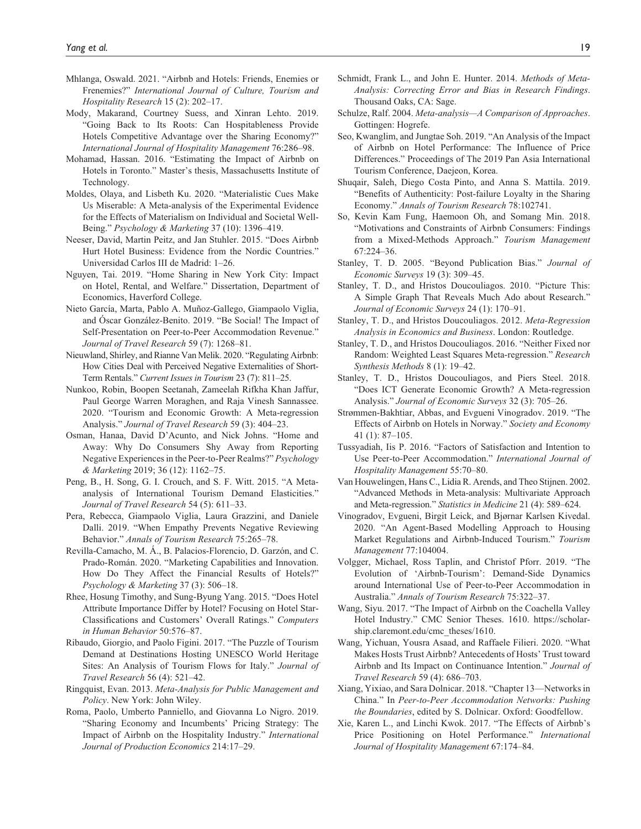- Mhlanga, Oswald. 2021. "Airbnb and Hotels: Friends, Enemies or Frenemies?" *International Journal of Culture, Tourism and Hospitality Research* 15 (2): 202–17.
- Mody, Makarand, Courtney Suess, and Xinran Lehto. 2019. "Going Back to Its Roots: Can Hospitableness Provide Hotels Competitive Advantage over the Sharing Economy?" *International Journal of Hospitality Management* 76:286–98.
- Mohamad, Hassan. 2016. "Estimating the Impact of Airbnb on Hotels in Toronto." Master's thesis, Massachusetts Institute of Technology.
- Moldes, Olaya, and Lisbeth Ku. 2020. "Materialistic Cues Make Us Miserable: A Meta-analysis of the Experimental Evidence for the Effects of Materialism on Individual and Societal Well-Being." *Psychology & Marketing* 37 (10): 1396–419.
- Neeser, David, Martin Peitz, and Jan Stuhler. 2015. "Does Airbnb Hurt Hotel Business: Evidence from the Nordic Countries." Universidad Carlos III de Madrid: 1–26.
- Nguyen, Tai. 2019. "Home Sharing in New York City: Impact on Hotel, Rental, and Welfare." Dissertation, Department of Economics, Haverford College.
- Nieto García, Marta, Pablo A. Muñoz-Gallego, Giampaolo Viglia, and Óscar González-Benito. 2019. "Be Social! The Impact of Self-Presentation on Peer-to-Peer Accommodation Revenue." *Journal of Travel Research* 59 (7): 1268–81.
- Nieuwland, Shirley, and Rianne Van Melik. 2020. "Regulating Airbnb: How Cities Deal with Perceived Negative Externalities of Short-Term Rentals." *Current Issues in Tourism* 23 (7): 811–25.
- Nunkoo, Robin, Boopen Seetanah, Zameelah Rifkha Khan Jaffur, Paul George Warren Moraghen, and Raja Vinesh Sannassee. 2020. "Tourism and Economic Growth: A Meta-regression Analysis." *Journal of Travel Research* 59 (3): 404–23.
- Osman, Hanaa, David D'Acunto, and Nick Johns. "Home and Away: Why Do Consumers Shy Away from Reporting Negative Experiences in the Peer-to-Peer Realms?" *Psychology & Marketing* 2019; 36 (12): 1162–75.
- Peng, B., H. Song, G. I. Crouch, and S. F. Witt. 2015. "A Metaanalysis of International Tourism Demand Elasticities." *Journal of Travel Research* 54 (5): 611–33.
- Pera, Rebecca, Giampaolo Viglia, Laura Grazzini, and Daniele Dalli. 2019. "When Empathy Prevents Negative Reviewing Behavior." *Annals of Tourism Research* 75:265–78.
- Revilla-Camacho, M. Á., B. Palacios-Florencio, D. Garzón, and C. Prado-Román. 2020. "Marketing Capabilities and Innovation. How Do They Affect the Financial Results of Hotels?" *Psychology & Marketing* 37 (3): 506–18.
- Rhee, Hosung Timothy, and Sung-Byung Yang. 2015. "Does Hotel Attribute Importance Differ by Hotel? Focusing on Hotel Star-Classifications and Customers' Overall Ratings." *Computers in Human Behavior* 50:576–87.
- Ribaudo, Giorgio, and Paolo Figini. 2017. "The Puzzle of Tourism Demand at Destinations Hosting UNESCO World Heritage Sites: An Analysis of Tourism Flows for Italy." *Journal of Travel Research* 56 (4): 521–42.
- Ringquist, Evan. 2013. *Meta-Analysis for Public Management and Policy*. New York: John Wiley.
- Roma, Paolo, Umberto Panniello, and Giovanna Lo Nigro. 2019. "Sharing Economy and Incumbents' Pricing Strategy: The Impact of Airbnb on the Hospitality Industry." *International Journal of Production Economics* 214:17–29.
- Schmidt, Frank L., and John E. Hunter. 2014. *Methods of Meta-Analysis: Correcting Error and Bias in Research Findings*. Thousand Oaks, CA: Sage.
- Schulze, Ralf. 2004. *Meta-analysis—A Comparison of Approaches*. Gottingen: Hogrefe.
- Seo, Kwanglim, and Jungtae Soh. 2019. "An Analysis of the Impact of Airbnb on Hotel Performance: The Influence of Price Differences." Proceedings of The 2019 Pan Asia International Tourism Conference, Daejeon, Korea.
- Shuqair, Saleh, Diego Costa Pinto, and Anna S. Mattila. 2019. "Benefits of Authenticity: Post-failure Loyalty in the Sharing Economy." *Annals of Tourism Research* 78:102741.
- So, Kevin Kam Fung, Haemoon Oh, and Somang Min. 2018. "Motivations and Constraints of Airbnb Consumers: Findings from a Mixed-Methods Approach." *Tourism Management* 67:224–36.
- Stanley, T. D. 2005. "Beyond Publication Bias." *Journal of Economic Surveys* 19 (3): 309–45.
- Stanley, T. D., and Hristos Doucouliagos. 2010. "Picture This: A Simple Graph That Reveals Much Ado about Research." *Journal of Economic Surveys* 24 (1): 170–91.
- Stanley, T. D., and Hristos Doucouliagos. 2012. *Meta-Regression Analysis in Economics and Business*. London: Routledge.
- Stanley, T. D., and Hristos Doucouliagos. 2016. "Neither Fixed nor Random: Weighted Least Squares Meta-regression." *Research Synthesis Methods* 8 (1): 19–42.
- Stanley, T. D., Hristos Doucouliagos, and Piers Steel. 2018. "Does ICT Generate Economic Growth? A Meta-regression Analysis." *Journal of Economic Surveys* 32 (3): 705–26.
- Strømmen-Bakhtiar, Abbas, and Evgueni Vinogradov. 2019. "The Effects of Airbnb on Hotels in Norway." *Society and Economy* 41 (1): 87–105.
- Tussyadiah, Iis P. 2016. "Factors of Satisfaction and Intention to Use Peer-to-Peer Accommodation." *International Journal of Hospitality Management* 55:70–80.
- Van Houwelingen, Hans C., Lidia R. Arends, and Theo Stijnen. 2002. "Advanced Methods in Meta-analysis: Multivariate Approach and Meta-regression." *Statistics in Medicine* 21 (4): 589–624.
- Vinogradov, Evgueni, Birgit Leick, and Bjørnar Karlsen Kivedal. 2020. "An Agent-Based Modelling Approach to Housing Market Regulations and Airbnb-Induced Tourism." *Tourism Management* 77:104004.
- Volgger, Michael, Ross Taplin, and Christof Pforr. 2019. "The Evolution of 'Airbnb-Tourism': Demand-Side Dynamics around International Use of Peer-to-Peer Accommodation in Australia." *Annals of Tourism Research* 75:322–37.
- Wang, Siyu. 2017. "The Impact of Airbnb on the Coachella Valley Hotel Industry." CMC Senior Theses. 1610. [https://scholar](https://scholarship.claremont.edu/cmc_theses/1610)[ship.claremont.edu/cmc\\_theses/1610](https://scholarship.claremont.edu/cmc_theses/1610).
- Wang, Yichuan, Yousra Asaad, and Raffaele Filieri. 2020. "What Makes Hosts Trust Airbnb? Antecedents of Hosts' Trust toward Airbnb and Its Impact on Continuance Intention." *Journal of Travel Research* 59 (4): 686–703.
- Xiang, Yixiao, and Sara Dolnicar. 2018. "Chapter 13—Networks in China." In *Peer-to-Peer Accommodation Networks: Pushing the Boundaries*, edited by S. Dolnicar. Oxford: Goodfellow.
- Xie, Karen L., and Linchi Kwok. 2017. "The Effects of Airbnb's Price Positioning on Hotel Performance." *International Journal of Hospitality Management* 67:174–84.